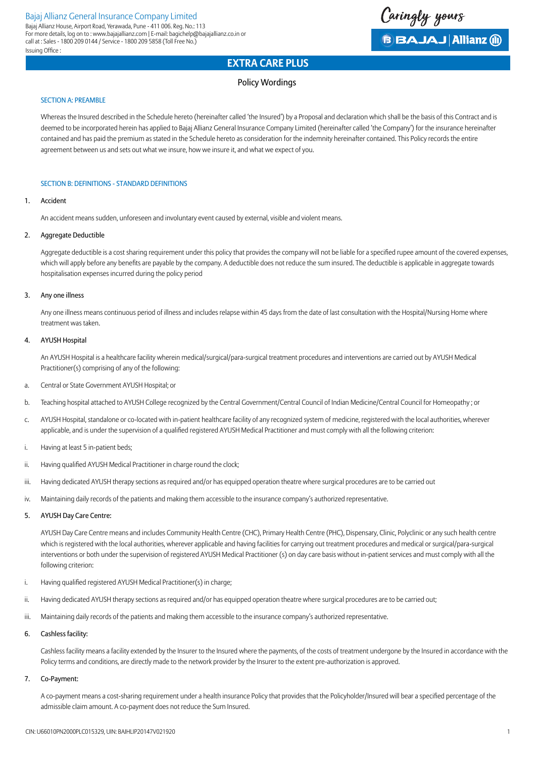Caringly yours **BBAJAJ Allianz (ii)** 

## Policy Wordings

## SECTION A: PREAMBLE

Whereas the Insured described in the Schedule hereto (hereinafter called 'the Insured') by a Proposal and declaration which shall be the basis of this Contract and is deemed to be incorporated herein has applied to Bajaj Allianz General Insurance Company Limited (hereinafter called 'the Company') for the insurance hereinafter contained and has paid the premium as stated in the Schedule hereto as consideration for the indemnity hereinafter contained. This Policy records the entire agreement between us and sets out what we insure, how we insure it, and what we expect of you.

## SECTION B: DEFINITIONS - STANDARD DEFINITIONS

## 1. Accident

Issuing Office :

An accident means sudden, unforeseen and involuntary event caused by external, visible and violent means.

## 2. Aggregate Deductible

Aggregate deductible is a cost sharing requirement under this policy that provides the company will not be liable for a specified rupee amount of the covered expenses, which will apply before any benefits are payable by the company. A deductible does not reduce the sum insured. The deductible is applicable in aggregate towards hospitalisation expenses incurred during the policy period

## 3. Any one illness

Any one illness means continuous period of illness and includes relapse within 45 days from the date of last consultation with the Hospital/Nursing Home where treatment was taken.

## 4. AYUSH Hospital

An AYUSH Hospital is a healthcare facility wherein medical/surgical/para-surgical treatment procedures and interventions are carried out by AYUSH Medical Practitioner(s) comprising of any of the following:

- a. Central or State Government AYUSH Hospital; or
- b. Teaching hospital attached to AYUSH College recognized by the Central Government/Central Council of Indian Medicine/Central Council for Homeopathy ; or
- c. AYUSH Hospital, standalone or co-located with in-patient healthcare facility of any recognized system of medicine, registered with the local authorities, wherever applicable, and is under the supervision of a qualified registered AYUSH Medical Practitioner and must comply with all the following criterion:
- i. Having at least 5 in-patient beds;
- ii. Having qualified AYUSH Medical Practitioner in charge round the clock;
- iii. Having dedicated AYUSH therapy sections as required and/or has equipped operation theatre where surgical procedures are to be carried out
- iv. Maintaining daily records of the patients and making them accessible to the insurance company's authorized representative.

## 5. AYUSH Day Care Centre:

AYUSH Day Care Centre means and includes Community Health Centre (CHC), Primary Health Centre (PHC), Dispensary, Clinic, Polyclinic or any such health centre which is registered with the local authorities, wherever applicable and having facilities for carrying out treatment procedures and medical or surgical/para-surgical interventions or both under the supervision of registered AYUSH Medical Practitioner (s) on day care basis without in-patient services and must comply with all the following criterion:

- i. Having qualified registered AYUSH Medical Practitioner(s) in charge;
- ii. Having dedicated AYUSH therapy sections as required and/or has equipped operation theatre where surgical procedures are to be carried out;
- iii. Maintaining daily records of the patients and making them accessible to the insurance company's authorized representative.

## 6. Cashless facility:

Cashless facility means a facility extended by the Insurer to the Insured where the payments, of the costs of treatment undergone by the Insured in accordance with the Policy terms and conditions, are directly made to the network provider by the Insurer to the extent pre-authorization is approved.

## 7. Co-Payment:

 A co-payment means a cost-sharing requirement under a health insurance Policy that provides that the Policyholder/Insured will bear a specified percentage of the admissible claim amount. A co-payment does not reduce the Sum Insured.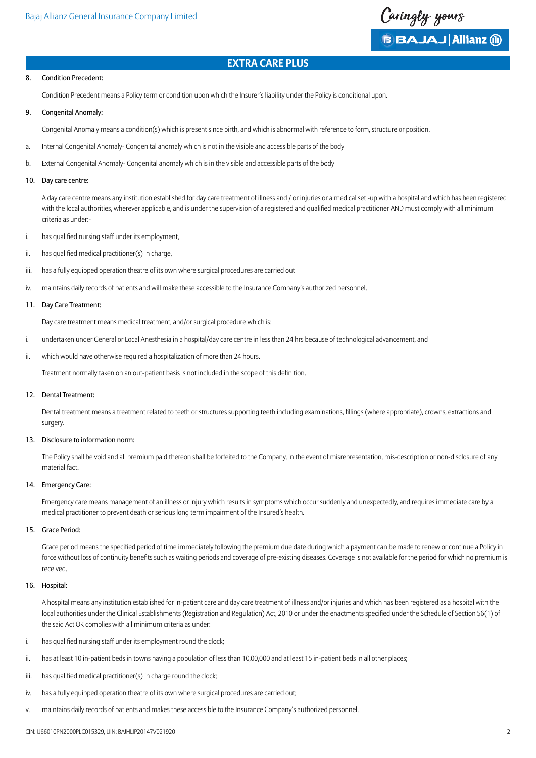

#### 8. Condition Precedent:

Condition Precedent means a Policy term or condition upon which the Insurer's liability under the Policy is conditional upon.

9. Congenital Anomaly:

Congenital Anomaly means a condition(s) which is present since birth, and which is abnormal with reference to form, structure or position.

- a. Internal Congenital Anomaly- Congenital anomaly which is not in the visible and accessible parts of the body
- b. External Congenital Anomaly- Congenital anomaly which is in the visible and accessible parts of the body
- 10. Day care centre:

A day care centre means any institution established for day care treatment of illness and / or injuries or a medical set -up with a hospital and which has been registered with the local authorities, wherever applicable, and is under the supervision of a registered and qualified medical practitioner AND must comply with all minimum criteria as under:-

- i. has qualified nursing staff under its employment,
- $ii.$  has qualified medical practitioner(s) in charge.
- iii. has a fully equipped operation theatre of its own where surgical procedures are carried out
- iv. maintains daily records of patients and will make these accessible to the Insurance Company's authorized personnel.

#### 11. Day Care Treatment:

Day care treatment means medical treatment, and/or surgical procedure which is:

- i. undertaken under General or Local Anesthesia in a hospital/day care centre in less than 24 hrs because of technological advancement, and
- ii. which would have otherwise required a hospitalization of more than 24 hours.

 Treatment normally taken on an out-patient basis is not included in the scope of this definition.

#### 12. Dental Treatment:

 Dental treatment means a treatment related to teeth or structures supporting teeth including examinations, fillings (where appropriate), crowns, extractions and surgery.

## 13. Disclosure to information norm:

The Policy shall be void and all premium paid thereon shall be forfeited to the Company, in the event of misrepresentation, mis-description or non-disclosure of any material fact.

### 14. Emergency Care:

Emergency care means management of an illness or injury which results in symptoms which occur suddenly and unexpectedly, and requires immediate care by a medical practitioner to prevent death or serious long term impairment of the Insured's health.

#### 15. Grace Period:

Grace period means the specified period of time immediately following the premium due date during which a payment can be made to renew or continue a Policy in force without loss of continuity benefits such as waiting periods and coverage of pre-existing diseases. Coverage is not available for the period for which no premium is received.

#### 16. Hospital:

A hospital means any institution established for in-patient care and day care treatment of illness and/or injuries and which has been registered as a hospital with the local authorities under the Clinical Establishments (Registration and Regulation) Act, 2010 or under the enactments specified under the Schedule of Section 56(1) of the said Act OR complies with all minimum criteria as under:

- i. has qualified nursing staff under its employment round the clock;
- ii. has at least 10 in-patient beds in towns having a population of less than 10,00,000 and at least 15 in-patient beds in all other places;
- iii. has qualified medical practitioner(s) in charge round the clock;
- iv. has a fully equipped operation theatre of its own where surgical procedures are carried out;
- v. maintains daily records of patients and makes these accessible to the Insurance Company's authorized personnel.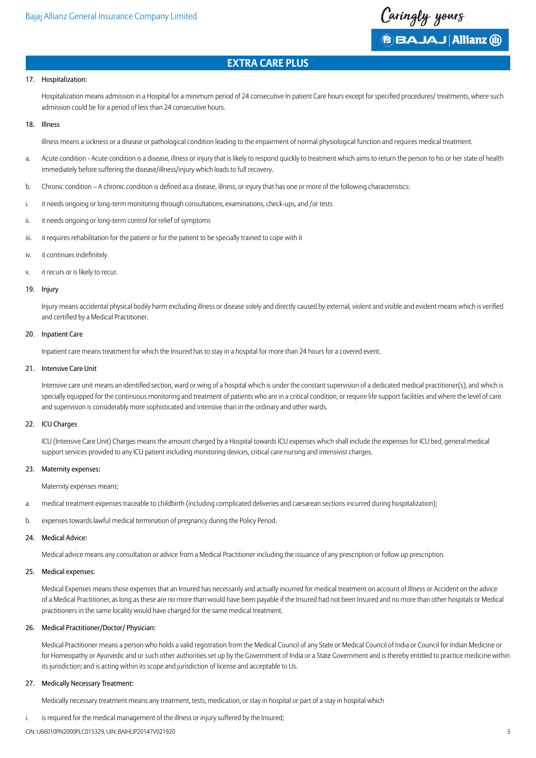

## 17. Hospitalization:

Hospitalization means admission in a Hospital for a minimum period of 24 consecutive In patient Care hours except for specified procedures/ treatments, where such admission could be for a period of less than 24 consecutive hours.

## 18. Illness

Illness means a sickness or a disease or pathological condition leading to the impairment of normal physiological function and requires medical treatment.

- a. Acute condition Acute condition is a disease, illness or injury that is likely to respond quickly to treatment which aims to return the person to his or her state of health immediately before suffering the disease/illness/injury which leads to full recovery.
- b. Chronic condition A chronic condition is defined as a disease, illness, or injury that has one or more of the following characteristics:
- i. it needs ongoing or long-term monitoring through consultations, examinations, check-ups, and /or tests
- ii. it needs ongoing or long-term control for relief of symptoms
- iii. it requires rehabilitation for the patient or for the patient to be specially trained to cope with it
- iv. it continues indefinitely
- v. it recurs or is likely to recur.

#### 19. Injury

 Injury means accidental physical bodily harm excluding illness or disease solely and directly caused by external, violent and visible and evident means which is verified and certified by a Medical Practitioner.

## 20. Inpatient Care

Inpatient care means treatment for which the Insured has to stay in a hospital for more than 24 hours for a covered event.

### 21. Intensive Care Unit

 Intensive care unit means an identified section, ward or wing of a hospital which is under the constant supervision of a dedicated medical practitioner(s), and which is specially equipped for the continuous monitoring and treatment of patients who are in a critical condition, or require life support facilities and where the level of care and supervision is considerably more sophisticated and intensive than in the ordinary and other wards.

#### 22. ICU Charges

ICU (Intensive Care Unit) Charges means the amount charged by a Hospital towards ICU expenses which shall include the expenses for ICU bed, general medical support services provided to any ICU patient including monitoring devices, critical care nursing and intensivist charges.

#### 23. Maternity expenses:

Maternity expenses means;

- a. medical treatment expenses traceable to childbirth (including complicated deliveries and caesarean sections incurred during hospitalization);
- b. expenses towards lawful medical termination of pregnancy during the Policy Period.

#### 24. Medical Advice:

Medical advice means any consultation or advice from a Medical Practitioner including the issuance of any prescription or follow up prescription.

#### 25. Medical expenses:

Medical Expenses means those expenses that an Insured has necessarily and actually incurred for medical treatment on account of Illness or Accident on the advice of a Medical Practitioner, as long as these are no more than would have been payable if the Insured had not been Insured and no more than other hospitals or Medical practitioners in the same locality would have charged for the same medical treatment.

#### 26. Medical Practitioner/Doctor/ Physician:

Medical Practitioner means a person who holds a valid registration from the Medical Council of any State or Medical Council of India or Council for Indian Medicine or for Homeopathy or Ayurvedic and or such other authorities set up by the Government of India or a State Government and is thereby entitled to practice medicine within its jurisdiction; and is acting within its scope and jurisdiction of license and acceptable to Us.

#### 27. Medically Necessary Treatment:

Medically necessary treatment means any treatment, tests, medication, or stay in hospital or part of a stay in hospital which

i. is required for the medical management of the illness or injury suffered by the Insured;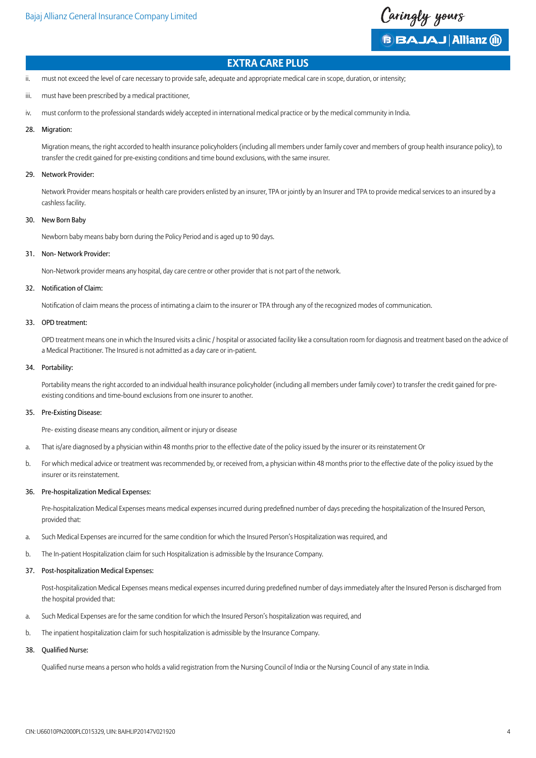

ii. must not exceed the level of care necessary to provide safe, adequate and appropriate medical care in scope, duration, or intensity;

- iii. must have been prescribed by a medical practitioner,
- iv. must conform to the professional standards widely accepted in international medical practice or by the medical community in India.

#### 28. Migration:

Migration means, the right accorded to health insurance policyholders (including all members under family cover and members of group health insurance policy), to transfer the credit gained for pre-existing conditions and time bound exclusions, with the same insurer.

#### 29. Network Provider:

Network Provider means hospitals or health care providers enlisted by an insurer, TPA or jointly by an Insurer and TPA to provide medical services to an insured by a cashless facility.

#### 30. New Born Baby

Newborn baby means baby born during the Policy Period and is aged up to 90 days.

#### 31. Non- Network Provider:

Non-Network provider means any hospital, day care centre or other provider that is not part of the network.

#### 32. Notification of Claim:

 Notification of claim means the process of intimating a claim to the insurer or TPA through any of the recognized modes of communication.

#### 33. OPD treatment:

OPD treatment means one in which the Insured visits a clinic / hospital or associated facility like a consultation room for diagnosis and treatment based on the advice of a Medical Practitioner. The Insured is not admitted as a day care or in-patient.

## 34. Portability:

Portability means the right accorded to an individual health insurance policyholder (including all members under family cover) to transfer the credit gained for preexisting conditions and time-bound exclusions from one insurer to another.

## 35. Pre-Existing Disease:

Pre- existing disease means any condition, ailment or injury or disease

- a. That is/are diagnosed by a physician within 48 months prior to the effective date of the policy issued by the insurer or its reinstatement Or
- b. For which medical advice or treatment was recommended by, or received from, a physician within 48 months prior to the effective date of the policy issued by the insurer or its reinstatement.

#### 36. Pre-hospitalization Medical Expenses:

 Pre-hospitalization Medical Expenses means medical expenses incurred during predefined number of days preceding the hospitalization of the Insured Person, provided that:

- a. Such Medical Expenses are incurred for the same condition for which the Insured Person's Hospitalization was required, and
- b. The In-patient Hospitalization claim for such Hospitalization is admissible by the Insurance Company.

#### 37. Post-hospitalization Medical Expenses:

 Post-hospitalization Medical Expenses means medical expenses incurred during predefined number of days immediately after the Insured Person is discharged from the hospital provided that:

- a. Such Medical Expenses are for the same condition for which the Insured Person's hospitalization was required, and
- b. The inpatient hospitalization claim for such hospitalization is admissible by the Insurance Company.

### 38. Qualified Nurse:

 Qualified nurse means a person who holds a valid registration from the Nursing Council of India or the Nursing Council of any state in India.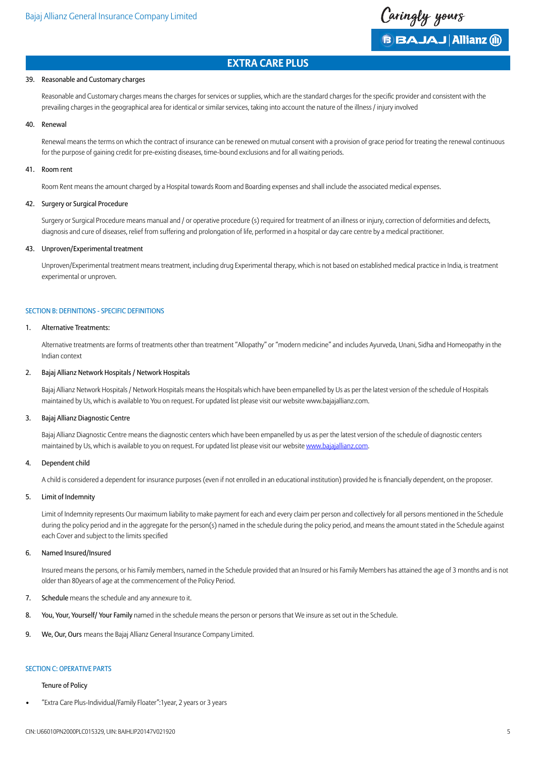

## 39. Reasonable and Customary charges

 Reasonable and Customary charges means the charges for services or supplies, which are the standard charges for the specific provider and consistent with the prevailing charges in the geographical area for identical or similar services, taking into account the nature of the illness / injury involved

## 40. Renewal

Renewal means the terms on which the contract of insurance can be renewed on mutual consent with a provision of grace period for treating the renewal continuous for the purpose of gaining credit for pre-existing diseases, time-bound exclusions and for all waiting periods.

#### 41. Room rent

Room Rent means the amount charged by a Hospital towards Room and Boarding expenses and shall include the associated medical expenses.

## 42. Surgery or Surgical Procedure

Surgery or Surgical Procedure means manual and / or operative procedure (s) required for treatment of an illness or injury, correction of deformities and defects, diagnosis and cure of diseases, relief from suffering and prolongation of life, performed in a hospital or day care centre by a medical practitioner.

#### 43. Unproven/Experimental treatment

Unproven/Experimental treatment means treatment, including drug Experimental therapy, which is not based on established medical practice in India, is treatment experimental or unproven.

#### SECTION B: DEFINITIONS - SPECIFIC DEFINITIONS

#### 1. Alternative Treatments:

Alternative treatments are forms of treatments other than treatment "Allopathy" or "modern medicine" and includes Ayurveda, Unani, Sidha and Homeopathy in the Indian context

## 2. Bajaj Allianz Network Hospitals / Network Hospitals

Bajaj Allianz Network Hospitals / Network Hospitals means the Hospitals which have been empanelled by Us as per the latest version of the schedule of Hospitals maintained by Us, which is available to You on request. For updated list please visit our website www.bajajallianz.com.

#### 3. Bajaj Allianz Diagnostic Centre

Bajaj Allianz Diagnostic Centre means the diagnostic centers which have been empanelled by us as per the latest version of the schedule of diagnostic centers maintained by Us, which is available to you on request. For updated list please visit our website [www.bajajallianz.com.](http://www.bajajallianz.com)

## 4. Dependent child

 A child is considered a dependent for insurance purposes (even if not enrolled in an educational institution) provided he is financially dependent, on the proposer.

#### 5. Limit of Indemnity

Limit of Indemnity represents Our maximum liability to make payment for each and every claim per person and collectively for all persons mentioned in the Schedule during the policy period and in the aggregate for the person(s) named in the schedule during the policy period, and means the amount stated in the Schedule against each Cover and subject to the limits specified

#### 6. Named Insured/Insured

Insured means the persons, or his Family members, named in the Schedule provided that an Insured or his Family Members has attained the age of 3 months and is not older than 80years of age at the commencement of the Policy Period.

- 7. Schedule means the schedule and any annexure to it.
- 8. You, Your, Yourself/ Your Family named in the schedule means the person or persons that We insure as set out in the Schedule.
- 9. We, Our, Ours means the Bajaj Allianz General Insurance Company Limited.

## SECTION C: OPERATIVE PARTS

## Tenure of Policy

"Extra Care Plus-Individual/Family Floater":1year, 2 years or 3 years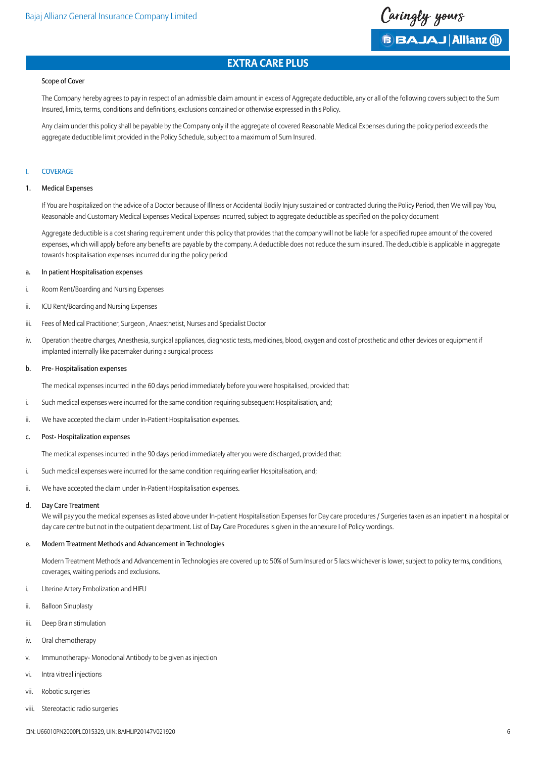

#### Scope of Cover

The Company hereby agrees to pay in respect of an admissible claim amount in excess of Aggregate deductible, any or all of the following covers subject to the Sum Insured, limits, terms, conditions and definitions, exclusions contained or otherwise expressed in this Policy.

Any claim under this policy shall be payable by the Company only if the aggregate of covered Reasonable Medical Expenses during the policy period exceeds the aggregate deductible limit provided in the Policy Schedule, subject to a maximum of Sum Insured.

## **COVERAGE**

#### 1. Medical Expenses

If You are hospitalized on the advice of a Doctor because of Illness or Accidental Bodily Injury sustained or contracted during the Policy Period, then We will pay You, Reasonable and Customary Medical Expenses Medical Expenses incurred, subject to aggregate deductible as specified on the policy document

 Aggregate deductible is a cost sharing requirement under this policy that provides that the company will not be liable for a specified rupee amount of the covered expenses, which will apply before any benefits are payable by the company. A deductible does not reduce the sum insured. The deductible is applicable in aggregate towards hospitalisation expenses incurred during the policy period

## a. In patient Hospitalisation expenses

- i. Room Rent/Boarding and Nursing Expenses
- ii. ICU Rent/Boarding and Nursing Expenses
- iii. Fees of Medical Practitioner, Surgeon , Anaesthetist, Nurses and Specialist Doctor
- iv. Operation theatre charges, Anesthesia, surgical appliances, diagnostic tests, medicines, blood, oxygen and cost of prosthetic and other devices or equipment if implanted internally like pacemaker during a surgical process

#### b. Pre- Hospitalisation expenses

The medical expenses incurred in the 60 days period immediately before you were hospitalised, provided that:

- i. Such medical expenses were incurred for the same condition requiring subsequent Hospitalisation, and;
- ii. We have accepted the claim under In-Patient Hospitalisation expenses.

#### c. Post- Hospitalization expenses

The medical expenses incurred in the 90 days period immediately after you were discharged, provided that:

- i. Such medical expenses were incurred for the same condition requiring earlier Hospitalisation, and;
- ii. We have accepted the claim under In-Patient Hospitalisation expenses.

#### d. Day Care Treatment

We will pay you the medical expenses as listed above under In-patient Hospitalisation Expenses for Day care procedures / Surgeries taken as an inpatient in a hospital or day care centre but not in the outpatient department. List of Day Care Procedures is given in the annexure I of Policy wordings.

#### e. Modern Treatment Methods and Advancement in Technologies

Modern Treatment Methods and Advancement in Technologies are covered up to 50% of Sum Insured or 5 lacs whichever is lower, subject to policy terms, conditions, coverages, waiting periods and exclusions.

- i. Uterine Artery Embolization and HIFU
- ii. Balloon Sinuplasty
- iii. Deep Brain stimulation
- iv. Oral chemotherapy
- v. Immunotherapy- Monoclonal Antibody to be given as injection
- vi. Intra vitreal injections
- vii. Robotic surgeries
- viii. Stereotactic radio surgeries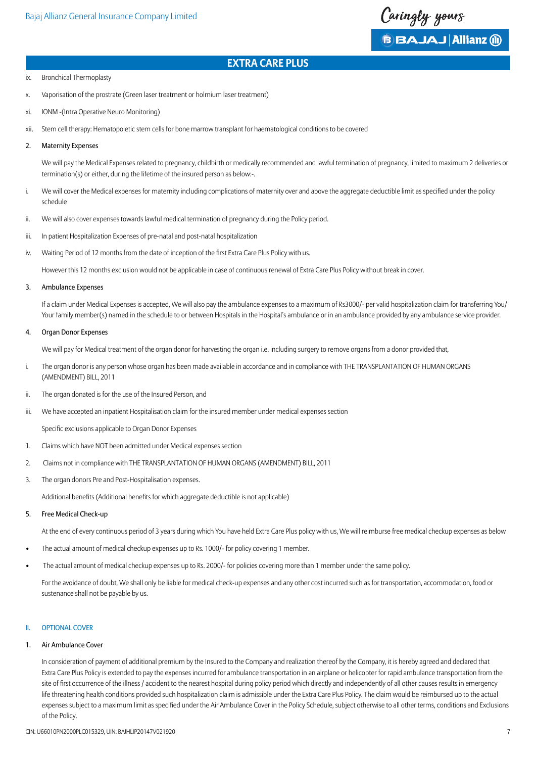

- ix. Bronchical Thermoplasty
- x. Vaporisation of the prostrate (Green laser treatment or holmium laser treatment)
- xi. IONM -(Intra Operative Neuro Monitoring)
- xii. Stem cell therapy: Hematopoietic stem cells for bone marrow transplant for haematological conditions to be covered
- 2. Maternity Expenses

We will pay the Medical Expenses related to pregnancy, childbirth or medically recommended and lawful termination of pregnancy, limited to maximum 2 deliveries or termination(s) or either, during the lifetime of the insured person as below:-.

- i. We will cover the Medical expenses for maternity including complications of maternity over and above the aggregate deductible limit as specified under the policy schedule
- ii. We will also cover expenses towards lawful medical termination of pregnancy during the Policy period.
- iii. In patient Hospitalization Expenses of pre-natal and post-natal hospitalization
- iv. Waiting Period of 12 months from the date of inception of the first Extra Care Plus Policy with us.

However this 12 months exclusion would not be applicable in case of continuous renewal of Extra Care Plus Policy without break in cover.

#### 3. Ambulance Expenses

If a claim under Medical Expenses is accepted, We will also pay the ambulance expenses to a maximum of Rs3000/- per valid hospitalization claim for transferring You/ Your family member(s) named in the schedule to or between Hospitals in the Hospital's ambulance or in an ambulance provided by any ambulance service provider.

#### 4. Organ Donor Expenses

We will pay for Medical treatment of the organ donor for harvesting the organ i.e. including surgery to remove organs from a donor provided that,

- i. The organ donor is any person whose organ has been made available in accordance and in compliance with THE TRANSPLANTATION OF HUMAN ORGANS (AMENDMENT) BILL, 2011
- ii. The organ donated is for the use of the Insured Person, and
- iii. We have accepted an inpatient Hospitalisation claim for the insured member under medical expenses section

 Specific exclusions applicable to Organ Donor Expenses

- 1. Claims which have NOT been admitted under Medical expenses section
- 2. Claims not in compliance with THE TRANSPLANTATION OF HUMAN ORGANS (AMENDMENT) BILL, 2011
- 3. The organ donors Pre and Post-Hospitalisation expenses.

 Additional benefits (Additional benefits for which aggregate deductible is not applicable)

5. Free Medical Check-up

At the end of every continuous period of 3 years during which You have held Extra Care Plus policy with us, We will reimburse free medical checkup expenses as below

- The actual amount of medical checkup expenses up to Rs. 1000/- for policy covering 1 member.
- The actual amount of medical checkup expenses up to Rs. 2000/- for policies covering more than 1 member under the same policy.

For the avoidance of doubt, We shall only be liable for medical check-up expenses and any other cost incurred such as for transportation, accommodation, food or sustenance shall not be payable by us.

## II. OPTIONAL COVER

## 1. Air Ambulance Cover

In consideration of payment of additional premium by the Insured to the Company and realization thereof by the Company, it is hereby agreed and declared that Extra Care Plus Policy is extended to pay the expenses incurred for ambulance transportation in an airplane or helicopter for rapid ambulance transportation from the site of first occurrence of the illness / accident to the nearest hospital during policy period which directly and independently of all other causes results in emergency life threatening health conditions provided such hospitalization claim is admissible under the Extra Care Plus Policy. The claim would be reimbursed up to the actual expenses subject to a maximum limit as specified under the Air Ambulance Cover in the Policy Schedule, subject otherwise to all other terms, conditions and Exclusions of the Policy.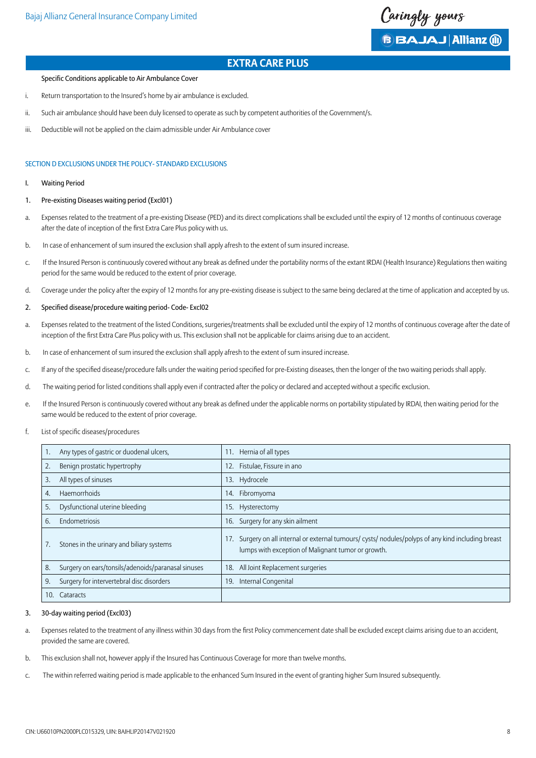Caringly yours **B BAJAJ Allianz (ii)** 

#### Specific Conditions applicable to Air Ambulance Cover

- i. Return transportation to the Insured's home by air ambulance is excluded.
- ii. Such air ambulance should have been duly licensed to operate as such by competent authorities of the Government/s.
- iii. Deductible will not be applied on the claim admissible under Air Ambulance cover

## SECTION D EXCLUSIONS UNDER THE POLICY- STANDARD EXCLUSIONS

- I. Waiting Period
- 1. Pre-existing Diseases waiting period (Excl01)
- a. Expenses related to the treatment of a pre-existing Disease (PED) and its direct complications shall be excluded until the expiry of 12 months of continuous coverage after the date of inception of the first Extra Care Plus policy with us.
- b. In case of enhancement of sum insured the exclusion shall apply afresh to the extent of sum insured increase.
- c. If the Insured Person is continuously covered without any break as defined under the portability norms of the extant IRDAI (Health Insurance) Requlations then waiting period for the same would be reduced to the extent of prior coverage.
- d. Coverage under the policy after the expiry of 12 months for any pre-existing disease is subject to the same being declared at the time of application and accepted by us.
- 2. Specified disease/procedure waiting period- Code- Excl02
- a. Expenses related to the treatment of the listed Conditions, surgeries/treatments shall be excluded until the expiry of 12 months of continuous coverage after the date of inception of the first Extra Care Plus policy with us. This exclusion shall not be applicable for claims arising due to an accident.
- b. In case of enhancement of sum insured the exclusion shall apply afresh to the extent of sum insured increase.
- c. If any of the specified disease/procedure falls under the waiting period specified for pre-Existing diseases, then the longer of the two waiting periods shall apply.
- d. The waiting period for listed conditions shall apply even if contracted after the policy or declared and accepted without a specific exclusion.
- e. If the Insured Person is continuously covered without any break as defined under the applicable norms on portability stipulated by IRDAI, then waiting period for the same would be reduced to the extent of prior coverage.
- f. List of specific diseases/procedures

|     | Any types of gastric or duodenal ulcers,           | 11. | Hernia of all types                                                                                                                                   |
|-----|----------------------------------------------------|-----|-------------------------------------------------------------------------------------------------------------------------------------------------------|
|     | Benign prostatic hypertrophy                       | 12. | Fistulae, Fissure in ano                                                                                                                              |
| 3.  | All types of sinuses                               |     | 13. Hydrocele                                                                                                                                         |
| 4.  | <b>Haemorrhoids</b>                                | 14. | Fibromyoma                                                                                                                                            |
| 5.  | Dysfunctional uterine bleeding                     | 15. | Hysterectomy                                                                                                                                          |
| 6.  | Endometriosis                                      | 16. | Surgery for any skin ailment                                                                                                                          |
|     | Stones in the urinary and biliary systems          |     | Surgery on all internal or external tumours/ cysts/ nodules/polyps of any kind including breast<br>lumps with exception of Malignant tumor or growth. |
| 8.  | Surgery on ears/tonsils/adenoids/paranasal sinuses | 18. | All Joint Replacement surgeries                                                                                                                       |
| 9.  | Surgery for intervertebral disc disorders          | 19. | Internal Congenital                                                                                                                                   |
| 10. | Cataracts                                          |     |                                                                                                                                                       |

#### 3. 30-day waiting period (Excl03)

- a. Expenses related to the treatment of any illness within 30 days from the first Policy commencement date shall be excluded except claims arising due to an accident, provided the same are covered.
- b. This exclusion shall not, however apply if the Insured has Continuous Coverage for more than twelve months.
- c. The within referred waiting period is made applicable to the enhanced Sum Insured in the event of granting higher Sum Insured subsequently.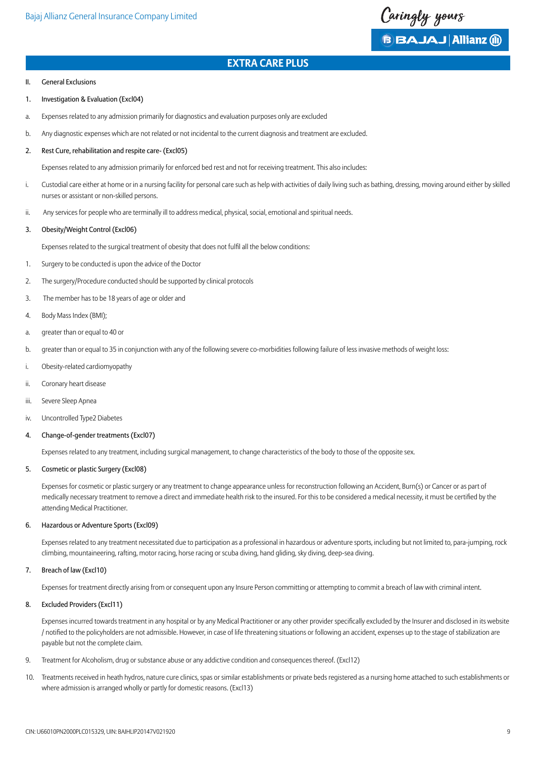

#### II. General Exclusions

- 1. Investigation & Evaluation (Excl04)
- a. Expenses related to any admission primarily for diagnostics and evaluation purposes only are excluded
- b. Any diagnostic expenses which are not related or not incidental to the current diagnosis and treatment are excluded.

#### 2. Rest Cure, rehabilitation and respite care- (Excl05)

Expenses related to any admission primarily for enforced bed rest and not for receiving treatment. This also includes:

- i. Custodial care either at home or in a nursing facility for personal care such as help with activities of daily living such as bathing, dressing, moving around either by skilled nurses or assistant or non-skilled persons.
- ii. Any services for people who are terminally ill to address medical, physical, social, emotional and spiritual needs.

#### 3. Obesity/Weight Control (Excl06)

 Expenses related to the surgical treatment of obesity that does not fulfil all the below conditions:

- 1. Surgery to be conducted is upon the advice of the Doctor
- 2. The surgery/Procedure conducted should be supported by clinical protocols
- 3. The member has to be 18 years of age or older and
- 4. Body Mass Index (BMI);
- a. greater than or equal to 40 or
- b. greater than or equal to 35 in conjunction with any of the following severe co-morbidities following failure of less invasive methods of weight loss:
- i. Obesity-related cardiomyopathy
- ii. Coronary heart disease
- iii. Severe Sleep Apnea
- iv. Uncontrolled Type2 Diabetes

#### 4. Change-of-gender treatments (Excl07)

Expenses related to any treatment, including surgical management, to change characteristics of the body to those of the opposite sex.

#### 5. Cosmetic or plastic Surgery (Excl08)

Expenses for cosmetic or plastic surgery or any treatment to change appearance unless for reconstruction following an Accident, Burn(s) or Cancer or as part of medically necessary treatment to remove a direct and immediate health risk to the insured. For this to be considered a medical necessity, it must be certified by the attending Medical Practitioner.

## 6. Hazardous or Adventure Sports (Excl09)

Expenses related to any treatment necessitated due to participation as a professional in hazardous or adventure sports, including but not limited to, para-jumping, rock climbing, mountaineering, rafting, motor racing, horse racing or scuba diving, hand gliding, sky diving, deep-sea diving.

## 7. Breach of law (Excl10)

Expenses for treatment directly arising from or consequent upon any Insure Person committing or attempting to commit a breach of law with criminal intent.

## 8. Excluded Providers (Excl11)

 Expenses incurred towards treatment in any hospital or by any Medical Practitioner or any other provider specifically excluded by the Insurer and disclosed in its website / notified to the policyholders are not admissible. However, in case of life threatening situations or following an accident, expenses up to the stage of stabilization are payable but not the complete claim.

- 9. Treatment for Alcoholism, drug or substance abuse or any addictive condition and consequences thereof. (Excl12)
- 10. Treatments received in heath hydros, nature cure clinics, spas or similar establishments or private beds registered as a nursing home attached to such establishments or where admission is arranged wholly or partly for domestic reasons. (Excl13)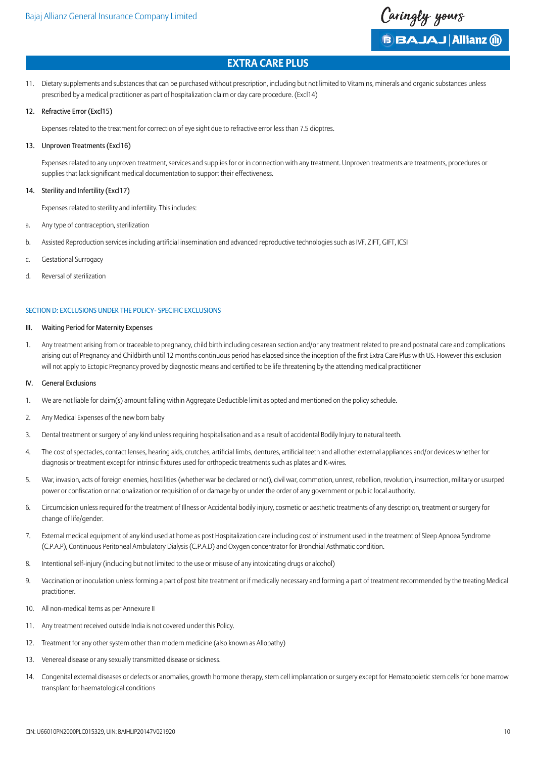

- 11. Dietary supplements and substances that can be purchased without prescription, including but not limited to Vitamins, minerals and organic substances unless prescribed by a medical practitioner as part of hospitalization claim or day care procedure. (Excl14)
- 12. Refractive Error (Excl15)

Expenses related to the treatment for correction of eye sight due to refractive error less than 7.5 dioptres.

## 13. Unproven Treatments (Excl16)

Expenses related to any unproven treatment, services and supplies for or in connection with any treatment. Unproven treatments are treatments, procedures or supplies that lack significant medical documentation to support their effectiveness.

## 14. Sterility and Infertility (Excl17)

Expenses related to sterility and infertility. This includes:

- a. Any type of contraception, sterilization
- b. Assisted Reproduction services including artificial insemination and advanced reproductive technologies such as IVF, ZIFT, GIFT, ICSI
- c. Gestational Surrogacy
- d. Reversal of sterilization

## SECTION D: EXCLUSIONS UNDER THE POLICY- SPECIFIC EXCLUSIONS

#### III. Waiting Period for Maternity Expenses

1. Any treatment arising from or traceable to pregnancy, child birth including cesarean section and/or any treatment related to pre and postnatal care and complications arising out of Pregnancy and Childbirth until 12 months continuous period has elapsed since the inception of the first Extra Care Plus with US. However this exclusion will not apply to Ectopic Pregnancy proved by diagnostic means and certified to be life threatening by the attending medical practitioner

#### IV. General Exclusions

- 1. We are not liable for claim(s) amount falling within Aggregate Deductible limit as opted and mentioned on the policy schedule.
- 2. Any Medical Expenses of the new born baby
- 3. Dental treatment or surgery of any kind unless requiring hospitalisation and as a result of accidental Bodily Injury to natural teeth.
- 4. The cost of spectacles, contact lenses, hearing aids, crutches, artificial limbs, dentures, artificial teeth and all other external appliances and/or devices whether for diagnosis or treatment except for intrinsic fixtures used for orthopedic treatments such as plates and K-wires.
- 5. War, invasion, acts of foreign enemies, hostilities (whether war be declared or not), civil war, commotion, unrest, rebellion, revolution, insurrection, military or usurped power or confiscation or nationalization or requisition of or damage by or under the order of any government or public local authority.
- 6. Circumcision unless required for the treatment of Illness or Accidental bodily injury, cosmetic or aesthetic treatments of any description, treatment or surgery for change of life/gender.
- 7. External medical equipment of any kind used at home as post Hospitalization care including cost of instrument used in the treatment of Sleep Apnoea Syndrome (C.P.A.P), Continuous Peritoneal Ambulatory Dialysis (C.P.A.D) and Oxygen concentrator for Bronchial Asthmatic condition.
- 8. Intentional self-injury (including but not limited to the use or misuse of any intoxicating drugs or alcohol)
- 9. Vaccination or inoculation unless forming a part of post bite treatment or if medically necessary and forming a part of treatment recommended by the treating Medical practitioner.
- 10. All non-medical Items as per Annexure II
- 11. Any treatment received outside India is not covered under this Policy.
- 12. Treatment for any other system other than modern medicine (also known as Allopathy)
- 13. Venereal disease or any sexually transmitted disease or sickness.
- 14. Congenital external diseases or defects or anomalies, growth hormone therapy, stem cell implantation or surgery except for Hematopoietic stem cells for bone marrow transplant for haematological conditions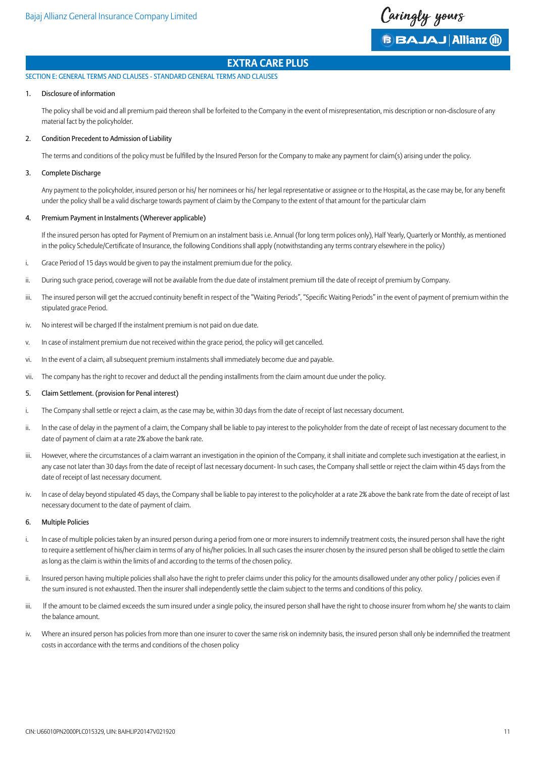Caringly yours **B BAJAJ Allianz (ii)** 

SECTION E: GENERAL TERMS AND CLAUSES - STANDARD GENERAL TERMS AND CLAUSES

## 1. Disclosure of information

The policy shall be void and all premium paid thereon shall be forfeited to the Company in the event of misrepresentation, mis description or non-disclosure of any material fact by the policyholder.

## 2. Condition Precedent to Admission of Liability

 The terms and conditions of the policy must be fulfilled by the Insured Person for the Company to make any payment for claim(s) arising under the policy.

## 3. Complete Discharge

 Any payment to the policyholder, insured person or his/ her nominees or his/ her legal representative or assignee or to the Hospital, as the case may be, for any benefit under the policy shall be a valid discharge towards payment of claim by the Company to the extent of that amount for the particular claim

## 4. Premium Payment in Instalments (Wherever applicable)

If the insured person has opted for Payment of Premium on an instalment basis i.e. Annual (for long term polices only), Half Yearly, Quarterly or Monthly, as mentioned in the policy Schedule/Certificate of Insurance, the following Conditions shall apply (notwithstanding any terms contrary elsewhere in the policy)

- i. Grace Period of 15 days would be given to pay the instalment premium due for the policy.
- ii. During such grace period, coverage will not be available from the due date of instalment premium till the date of receipt of premium by Company.
- iii. The insured person will get the accrued continuity benefit in respect of the "Waiting Periods", "Specific Waiting Periods" in the event of payment of premium within the stipulated grace Period.
- iv. No interest will be charged If the instalment premium is not paid on due date.
- v. In case of instalment premium due not received within the grace period, the policy will get cancelled.
- vi. In the event of a claim, all subsequent premium instalments shall immediately become due and payable.
- vii. The company has the right to recover and deduct all the pending installments from the claim amount due under the policy.
- 5. Claim Settlement. (provision for Penal interest)
- i. The Company shall settle or reject a claim, as the case may be, within 30 days from the date of receipt of last necessary document.
- ii. In the case of delay in the payment of a claim, the Company shall be liable to pay interest to the policyholder from the date of receipt of last necessary document to the date of payment of claim at a rate 2% above the bank rate.
- iii. However, where the circumstances of a claim warrant an investigation in the opinion of the Company, it shall initiate and complete such investigation at the earliest, in any case not later than 30 days from the date of receipt of last necessary document- In such cases, the Company shall settle or reject the claim within 45 days from the date of receipt of last necessary document.
- iv. ln case of delay beyond stipulated 45 days, the Company shall be liable to pay interest to the policyholder at a rate 2% above the bank rate from the date of receipt of last necessary document to the date of payment of claim.

#### 6. Multiple Policies

- i. In case of multiple policies taken by an insured person during a period from one or more insurers to indemnify treatment costs, the insured person shall have the right to require a settlement of his/her claim in terms of any of his/her policies. ln all such cases the insurer chosen by the insured person shall be obliged to settle the claim as long as the claim is within the limits of and according to the terms of the chosen policy.
- ii. Insured person having multiple policies shall also have the right to prefer claims under this policy for the amounts disallowed under any other policy / policies even if the sum insured is not exhausted. Then the insurer shall independently settle the claim subject to the terms and conditions of this policy.
- iii. If the amount to be claimed exceeds the sum insured under a single policy, the insured person shall have the right to choose insurer from whom he/ she wants to claim the balance amount.
- iv. Where an insured person has policies from more than one insurer to cover the same risk on indemnity basis, the insured person shall only be indemnified the treatment costs in accordance with the terms and conditions of the chosen policy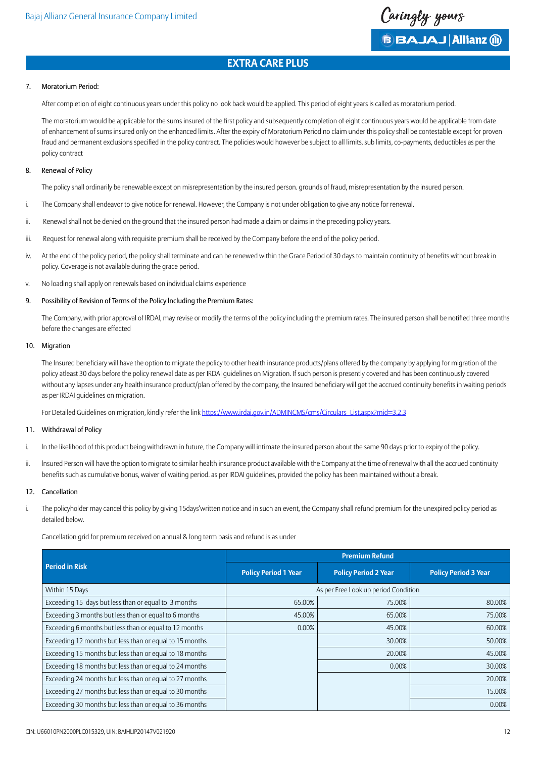

Caringly yours

**B BAJAJ Allianz (ii)** 

## 7. Moratorium Period:

After completion of eight continuous years under this policy no look back would be applied. This period of eight years is called as moratorium period.

 The moratorium would be applicable for the sums insured of the first policy and subsequently completion of eight continuous years would be applicable from date of enhancement of sums insured only on the enhanced limits. After the expiry of Moratorium Period no claim under this policy shall be contestable except for proven fraud and permanent exclusions specified in the policy contract. The policies would however be subject to all limits, sub limits, co-payments, deductibles as per the policy contract

#### 8. Renewal of Policy

The policy shall ordinarily be renewable except on misrepresentation by the insured person. grounds of fraud, misrepresentation by the insured person.

- i. The Company shall endeavor to give notice for renewal. However, the Company is not under obligation to give any notice for renewal.
- ii. Renewal shall not be denied on the ground that the insured person had made a claim or claims in the preceding policy years.
- iii. Request for renewal along with requisite premium shall be received by the Company before the end of the policy period.
- iv. At the end of the policy period, the policy shall terminate and can be renewed within the Grace Period of 30 days to maintain continuity of benefits without break in policy. Coverage is not available during the grace period.
- v. No loading shall apply on renewals based on individual claims experience
- 9. Possibility of Revision of Terms of the Policy lncluding the Premium Rates:

 The Company, with prior approval of lRDAl, may revise or modify the terms of the policy including the premium rates. The insured person shall be notified three months before the changes are effected

#### 10. Migration

 The Insured beneficiary will have the option to migrate the policy to other health insurance products/plans offered by the company by applying for migration of the policy atleast 30 days before the policy renewal date as per IRDAI guidelines on Migration. If such person is presently covered and has been continuously covered without any lapses under any health insurance product/plan offered by the company, the Insured beneficiary will get the accrued continuity benefits in waiting periods as per IRDAI guidelines on migration.

For Detailed Guidelines on migration, kindly refer the link [https://www.irdai.gov.in/ADMINCMS/cms/Circulars\\_List.aspx?mid=3.2.3](https://www.irdai.gov.in/ADMINCMS/cms/Circulars_List.aspx?mid=3.2.3)

## 11. Withdrawal of Policy

- i. ln the likelihood of this product being withdrawn in future, the Company will intimate the insured person about the same 90 days prior to expiry of the policy.
- ii. Insured Person will have the option to migrate to similar health insurance product available with the Company at the time of renewal with all the accrued continuity benefits such as cumulative bonus, waiver of waiting period. as per IRDAI guidelines, provided the policy has been maintained without a break.

## 12. Cancellation

i. The policyholder may cancel this policy by giving 15days'written notice and in such an event, the Company shall refund premium for the unexpired policy period as detailed below.

Cancellation grid for premium received on annual & long term basis and refund is as under

|                                                         | <b>Premium Refund</b>       |                                      |                             |  |
|---------------------------------------------------------|-----------------------------|--------------------------------------|-----------------------------|--|
| <b>Period in Risk</b>                                   | <b>Policy Period 1 Year</b> | <b>Policy Period 2 Year</b>          | <b>Policy Period 3 Year</b> |  |
| Within 15 Days                                          |                             | As per Free Look up period Condition |                             |  |
| Exceeding 15 days but less than or equal to 3 months    | 65.00%                      | 75.00%                               | 80.00%                      |  |
| Exceeding 3 months but less than or equal to 6 months   | 45.00%                      | 65.00%                               | 75.00%                      |  |
| Exceeding 6 months but less than or equal to 12 months  | 0.00%                       | 45.00%                               | 60.00%                      |  |
| Exceeding 12 months but less than or equal to 15 months |                             | 30.00%                               | 50.00%                      |  |
| Exceeding 15 months but less than or equal to 18 months |                             | 20.00%                               | 45.00%                      |  |
| Exceeding 18 months but less than or equal to 24 months |                             | 0.00%                                | 30.00%                      |  |
| Exceeding 24 months but less than or equal to 27 months |                             |                                      | 20.00%                      |  |
| Exceeding 27 months but less than or equal to 30 months |                             |                                      | 15.00%                      |  |
| Exceeding 30 months but less than or equal to 36 months |                             |                                      | 0.00%                       |  |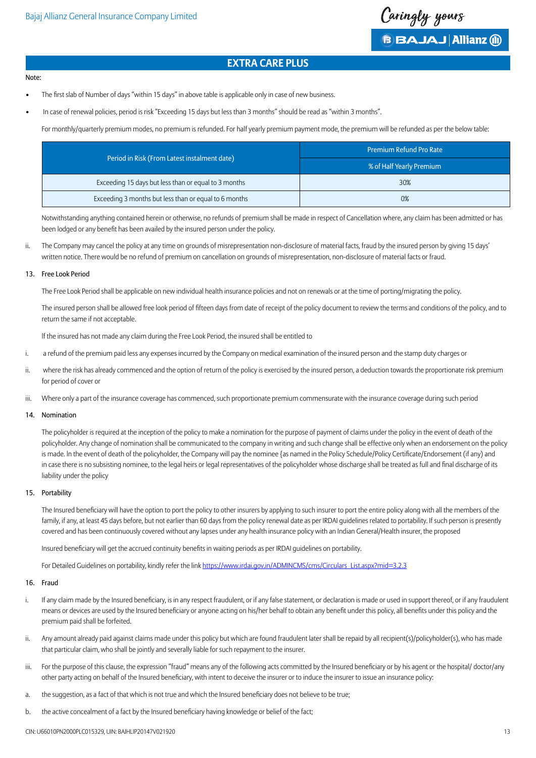

#### Note:

- The first slab of Number of days "within 15 days" in above table is applicable only in case of new business.
- In case of renewal policies, period is risk "Exceeding 15 days but less than 3 months" should be read as "within 3 months".

For monthly/quarterly premium modes, no premium is refunded. For half yearly premium payment mode, the premium will be refunded as per the below table:

|                                                       | <b>Premium Refund Pro Rate</b> |
|-------------------------------------------------------|--------------------------------|
| Period in Risk (From Latest instalment date)          | % of Half Yearly Premium       |
| Exceeding 15 days but less than or equal to 3 months  | 30%                            |
| Exceeding 3 months but less than or equal to 6 months | 0%                             |

Notwithstanding anything contained herein or otherwise, no refunds of premium shall be made in respect of Cancellation where, any claim has been admitted or has been lodged or any benefit has been availed by the insured person under the policy.

ii. The Company may cancel the policy at any time on grounds of misrepresentation non-disclosure of material facts, fraud by the insured person by giving 15 days' written notice. There would be no refund of premium on cancellation on grounds of misrepresentation, non-disclosure of material facts or fraud.

## 13. Free Look Period

The Free Look Period shall be applicable on new individual health insurance policies and not on renewals or at the time of porting/migrating the policy.

 The insured person shall be allowed free look period of fifteen days from date of receipt of the policy document to review the terms and conditions of the policy, and to return the same if not acceptable.

lf the insured has not made any claim during the Free Look Period, the insured shall be entitled to

- i. a refund of the premium paid less any expenses incurred by the Company on medical examination of the insured person and the stamp duty charges or
- ii. where the risk has already commenced and the option of return of the policy is exercised by the insured person, a deduction towards the proportionate risk premium for period of cover or
- iii. Where only a part of the insurance coverage has commenced, such proportionate premium commensurate with the insurance coverage during such period

#### 14. Nomination

The policyholder is required at the inception of the policy to make a nomination for the purpose of payment of claims under the policy in the event of death of the policyholder. Any change of nomination shall be communicated to the company in writing and such change shall be effective only when an endorsement on the policy is made. ln the event of death of the policyholder, the Company will pay the nominee {as named in the Policy Schedule/Policy Certificate/Endorsement (if any) and in case there is no subsisting nominee, to the legal heirs or legal representatives of the policyholder whose discharge shall be treated as full and final discharge of its liability under the policy

## 15. Portability

 The Insured beneficiary will have the option to port the policy to other insurers by applying to such insurer to port the entire policy along with all the members of the family, if any, at least 45 days before, but not earlier than 60 days from the policy renewal date as per IRDAI quidelines related to portability. If such person is presently covered and has been continuously covered without any lapses under any health insurance policy with an Indian General/Health insurer, the proposed

 Insured beneficiary will get the accrued continuity benefits in waiting periods as per IRDAI guidelines on portability.

For Detailed Guidelines on portability, kindly refer the link [https://www.irdai.gov.in/ADMINCMS/cms/Circulars\\_List.aspx?mid=3.2.3](https://www.irdai.gov.in/ADMINCMS/cms/Circulars_List.aspx?mid=3.2.3)

#### 16. Fraud

- i. If any claim made by the Insured beneficiary, is in any respect fraudulent, or if any false statement, or declaration is made or used in support thereof, or if any fraudulent means or devices are used by the Insured beneficiary or anyone acting on his/her behalf to obtain any benefit under this policy, all benefits under this policy and the premium paid shall be forfeited.
- ii. Any amount already paid against claims made under this policy but which are found fraudulent later shall be repaid by all recipient(s)/policyholder(s), who has made that particular claim, who shall be jointly and severally liable for such repayment to the insurer.
- iii. For the purpose of this clause, the expression "fraud" means any of the following acts committed by the Insured beneficiary or by his agent or the hospital/ doctor/any other party acting on behalf of the Insured beneficiary, with intent to deceive the insurer or to induce the insurer to issue an insurance policy:
- a. the suggestion, as a fact of that which is not true and which the Insured beneficiary does not believe to be true;
- b. the active concealment of a fact by the Insured beneficiary having knowledge or belief of the fact;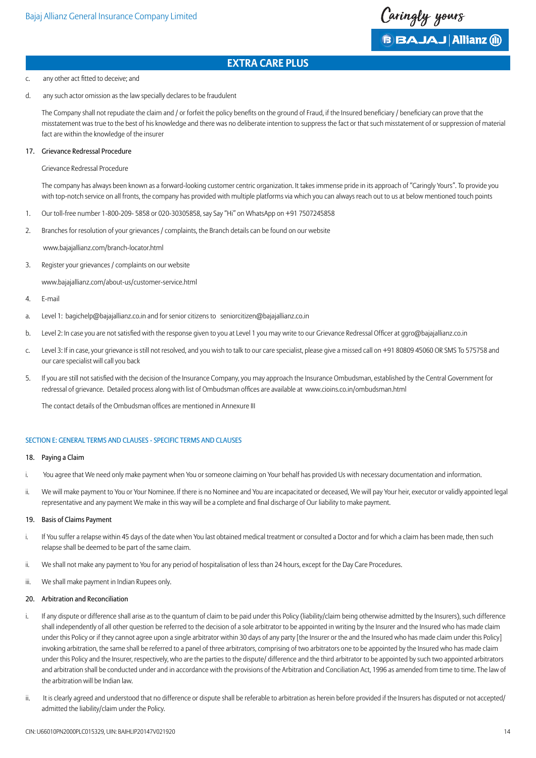

#### c. any other act fitted to deceive; and

d. any such actor omission as the law specially declares to be fraudulent

The Company shall not repudiate the claim and / or forfeit the policy benefits on the ground of Fraud, if the Insured beneficiary / beneficiary can prove that the misstatement was true to the best of his knowledge and there was no deliberate intention to suppress the fact or that such misstatement of or suppression of material fact are within the knowledge of the insurer

## 17. Grievance Redressal Procedure

Grievance Redressal Procedure

The company has always been known as a forward-looking customer centric organization. It takes immense pride in its approach of "Caringly Yours". To provide you with top-notch service on all fronts, the company has provided with multiple platforms via which you can always reach out to us at below mentioned touch points

- 1. Our toll-free number 1-800-209- 5858 or 020-30305858, say Say "Hi" on WhatsApp on +91 7507245858
- 2. Branches for resolution of your grievances / complaints, the Branch details can be found on our website

www.bajajallianz.com/branch-locator.html

3. Register your grievances / complaints on our website

www.bajajallianz.com/about-us/customer-service.html

- 4. E-mail
- a. Level 1: bagichelp@bajajallianz.co.in and for senior citizens to seniorcitizen@bajajallianz.co.in
- b. Level 2: In case you are not satisfied with the response given to you at Level 1 you may write to our Grievance Redressal Officer at ggro@bajajallianz.co.in
- c. Level 3: If in case, your grievance is still not resolved, and you wish to talk to our care specialist, please give a missed call on +91 80809 45060 OR SMS To 575758 and our care specialist will call you back
- 5. If you are still not satisfied with the decision of the Insurance Company, you may approach the Insurance Ombudsman, established by the Central Government for redressal of grievance. Detailed process along with list of Ombudsman offices are available at www.cioins.co.in/ombudsman.html

 The contact details of the Ombudsman offices are mentioned in Annexure III

## SECTION E: GENERAL TERMS AND CLAUSES - SPECIFIC TERMS AND CLAUSES

## 18. Paying a Claim

- i. You agree that We need only make payment when You or someone claiming on Your behalf has provided Us with necessary documentation and information.
- ii. We will make payment to You or Your Nominee. If there is no Nominee and You are incapacitated or deceased, We will pay Your heir, executor or validly appointed legal representative and any payment We make in this way will be a complete and final discharge of Our liability to make payment.

#### 19. Basis of Claims Payment

- i. If You suffer a relapse within 45 days of the date when You last obtained medical treatment or consulted a Doctor and for which a claim has been made, then such relapse shall be deemed to be part of the same claim.
- ii. We shall not make any payment to You for any period of hospitalisation of less than 24 hours, except for the Day Care Procedures.
- iii. We shall make payment in Indian Rupees only.

## 20. Arbitration and Reconciliation

- i. If any dispute or difference shall arise as to the quantum of claim to be paid under this Policy (liability/claim being otherwise admitted by the Insurers), such difference shall independently of all other question be referred to the decision of a sole arbitrator to be appointed in writing by the Insurer and the Insured who has made claim under this Policy or if they cannot agree upon a single arbitrator within 30 days of any party [the Insurer or the and the Insured who has made claim under this Policy] invoking arbitration, the same shall be referred to a panel of three arbitrators, comprising of two arbitrators one to be appointed by the Insured who has made claim under this Policy and the Insurer, respectively, who are the parties to the dispute/ difference and the third arbitrator to be appointed by such two appointed arbitrators and arbitration shall be conducted under and in accordance with the provisions of the Arbitration and Conciliation Act, 1996 as amended from time to time. The law of the arbitration will be Indian law.
- ii. It is clearly agreed and understood that no difference or dispute shall be referable to arbitration as herein before provided if the Insurers has disputed or not accepted/ admitted the liability/claim under the Policy.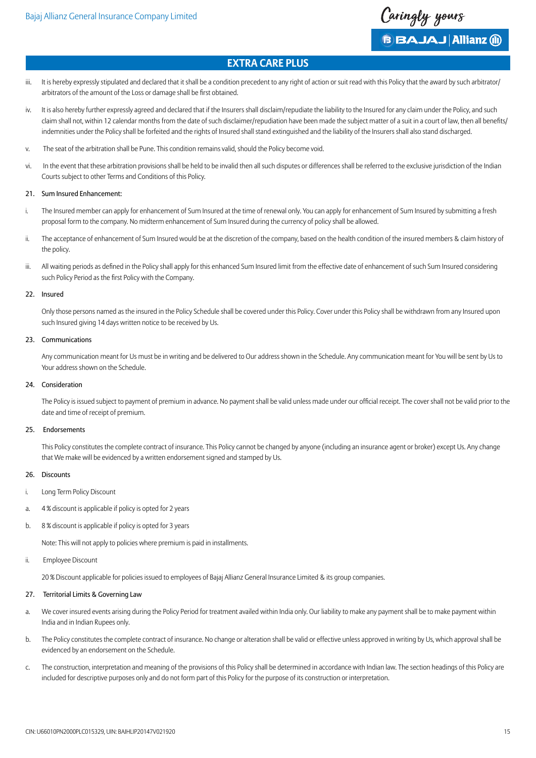

**B BAJAJ Allianz (ii)** 

# **Extra Care Plus**

- iii. It is hereby expressly stipulated and declared that it shall be a condition precedent to any right of action or suit read with this Policy that the award by such arbitrator/ arbitrators of the amount of the Loss or damage shall be first obtained.
- iv. It is also hereby further expressly agreed and declared that if the Insurers shall disclaim/repudiate the liability to the Insured for any claim under the Policy, and such claim shall not, within 12 calendar months from the date of such disclaimer/repudiation have been made the subject matter of a suit in a court of law, then all benefits/ indemnities under the Policy shall be forfeited and the rights of Insured shall stand extinguished and the liability of the Insurers shall also stand discharged.
- v. The seat of the arbitration shall be Pune. This condition remains valid, should the Policy become void.
- vi. In the event that these arbitration provisions shall be held to be invalid then all such disputes or differences shall be referred to the exclusive jurisdiction of the Indian Courts subject to other Terms and Conditions of this Policy.

## 21. Sum Insured Enhancement:

- i. The Insured member can apply for enhancement of Sum Insured at the time of renewal only. You can apply for enhancement of Sum Insured by submitting a fresh proposal form to the company. No midterm enhancement of Sum Insured during the currency of policy shall be allowed.
- ii. The acceptance of enhancement of Sum Insured would be at the discretion of the company, based on the health condition of the insured members & claim history of the policy.
- iii. All waiting periods as defined in the Policy shall apply for this enhanced Sum Insured limit from the effective date of enhancement of such Sum Insured considering such Policy Period as the first Policy with the Company.

## 22. Insured

Only those persons named as the insured in the Policy Schedule shall be covered under this Policy. Cover under this Policy shall be withdrawn from any Insured upon such Insured giving 14 days written notice to be received by Us.

## 23. Communications

Any communication meant for Us must be in writing and be delivered to Our address shown in the Schedule. Any communication meant for You will be sent by Us to Your address shown on the Schedule.

## 24. Consideration

 The Policy is issued subject to payment of premium in advance. No payment shall be valid unless made under our official receipt. The cover shall not be valid prior to the date and time of receipt of premium.

## 25. Endorsements

This Policy constitutes the complete contract of insurance. This Policy cannot be changed by anyone (including an insurance agent or broker) except Us. Any change that We make will be evidenced by a written endorsement signed and stamped by Us.

#### 26. Discounts

- i. Long Term Policy Discount
- a. 4 % discount is applicable if policy is opted for 2 years
- b. 8 % discount is applicable if policy is opted for 3 years

Note: This will not apply to policies where premium is paid in installments.

ii. Employee Discount

20 % Discount applicable for policies issued to employees of Bajaj Allianz General Insurance Limited & its group companies.

## 27. Territorial Limits & Governing Law

- a. We cover insured events arising during the Policy Period for treatment availed within India only. Our liability to make any payment shall be to make payment within India and in Indian Rupees only.
- b. The Policy constitutes the complete contract of insurance. No change or alteration shall be valid or effective unless approved in writing by Us, which approval shall be evidenced by an endorsement on the Schedule.
- c. The construction, interpretation and meaning of the provisions of this Policy shall be determined in accordance with Indian law. The section headings of this Policy are included for descriptive purposes only and do not form part of this Policy for the purpose of its construction or interpretation.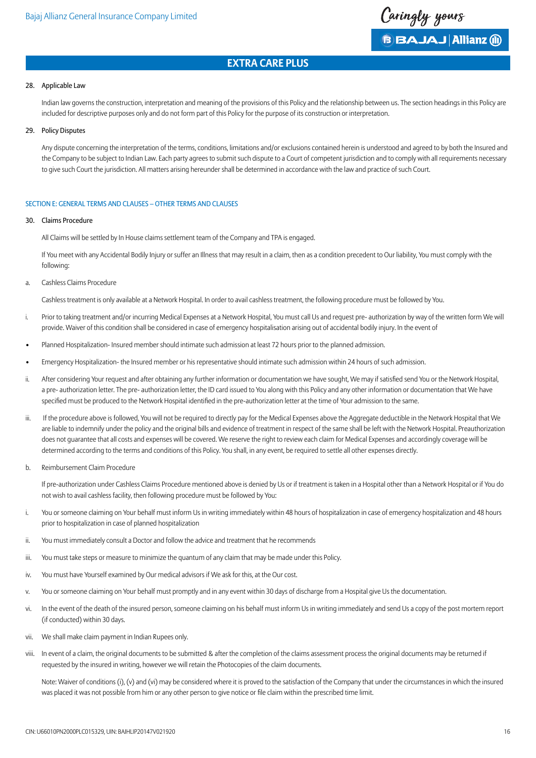

## 28. Applicable Law

Indian law governs the construction, interpretation and meaning of the provisions of this Policy and the relationship between us. The section headings in this Policy are included for descriptive purposes only and do not form part of this Policy for the purpose of its construction or interpretation.

#### 29. Policy Disputes

Any dispute concerning the interpretation of the terms, conditions, limitations and/or exclusions contained herein is understood and agreed to by both the Insured and the Company to be subject to Indian Law. Each party agrees to submit such dispute to a Court of competent jurisdiction and to comply with all requirements necessary to give such Court the jurisdiction. All matters arising hereunder shall be determined in accordance with the law and practice of such Court.

## SECTION E: GENERAL TERMS AND CLAUSES – OTHER TERMS AND CLAUSES

## 30. Claims Procedure

All Claims will be settled by In House claims settlement team of the Company and TPA is engaged.

If You meet with any Accidental Bodily Injury or suffer an Illness that may result in a claim, then as a condition precedent to Our liability, You must comply with the following:

a. Cashless Claims Procedure

Cashless treatment is only available at a Network Hospital. In order to avail cashless treatment, the following procedure must be followed by You.

- i. Prior to taking treatment and/or incurring Medical Expenses at a Network Hospital, You must call Us and request pre- authorization by way of the written form We will provide. Waiver of this condition shall be considered in case of emergency hospitalisation arising out of accidental bodily injury. In the event of
- Planned Hospitalization- Insured member should intimate such admission at least 72 hours prior to the planned admission.
- Emergency Hospitalization- the Insured member or his representative should intimate such admission within 24 hours of such admission.
- ii. After considering Your request and after obtaining any further information or documentation we have sought, We may if satisfied send You or the Network Hospital, a pre- authorization letter. The pre- authorization letter, the ID card issued to You along with this Policy and any other information or documentation that We have specified must be produced to the Network Hospital identified in the pre-authorization letter at the time of Your admission to the same.
- iii. If the procedure above is followed, You will not be required to directly pay for the Medical Expenses above the Aggregate deductible in the Network Hospital that We are liable to indemnify under the policy and the original bills and evidence of treatment in respect of the same shall be left with the Network Hospital. Preauthorization does not guarantee that all costs and expenses will be covered. We reserve the right to review each claim for Medical Expenses and accordingly coverage will be determined according to the terms and conditions of this Policy. You shall, in any event, be required to settle all other expenses directly.
- b. Reimbursement Claim Procedure

If pre-authorization under Cashless Claims Procedure mentioned above is denied by Us or if treatment is taken in a Hospital other than a Network Hospital or if You do not wish to avail cashless facility, then following procedure must be followed by You:

- i. You or someone claiming on Your behalf must inform Us in writing immediately within 48 hours of hospitalization in case of emergency hospitalization and 48 hours prior to hospitalization in case of planned hospitalization
- ii. You must immediately consult a Doctor and follow the advice and treatment that he recommends
- iii. You must take steps or measure to minimize the quantum of any claim that may be made under this Policy.
- iv. You must have Yourself examined by Our medical advisors if We ask for this, at the Our cost.
- v. You or someone claiming on Your behalf must promptly and in any event within 30 days of discharge from a Hospital give Us the documentation.
- vi. In the event of the death of the insured person, someone claiming on his behalf must inform Us in writing immediately and send Us a copy of the post mortem report (if conducted) within 30 days.
- vii. We shall make claim payment in Indian Rupees only.
- viii. In event of a claim, the original documents to be submitted & after the completion of the claims assessment process the original documents may be returned if requested by the insured in writing, however we will retain the Photocopies of the claim documents.

Note: Waiver of conditions (i), (v) and (vi) may be considered where it is proved to the satisfaction of the Company that under the circumstances in which the insured was placed it was not possible from him or any other person to give notice or file claim within the prescribed time limit.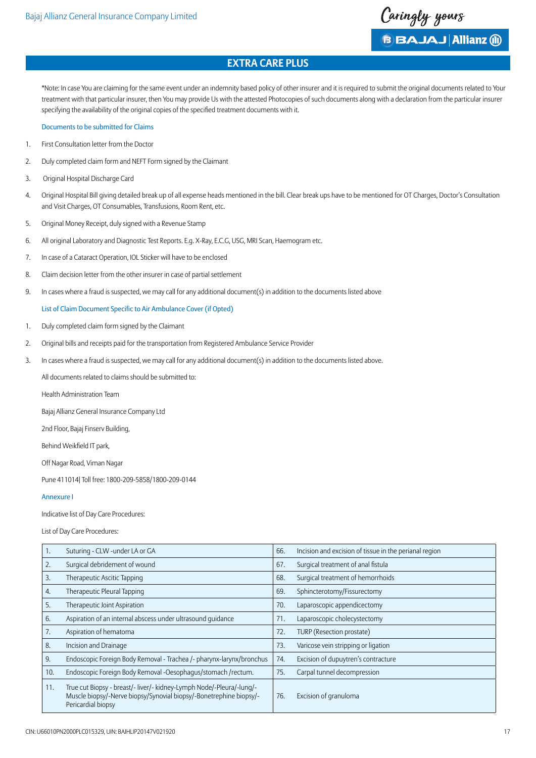Caringly yours

**B BAJAJ Allianz (ii)** 

# **Extra Care Plus**

\*Note: In case You are claiming for the same event under an indemnity based policy of other insurer and it is required to submit the original documents related to Your treatment with that particular insurer, then You may provide Us with the attested Photocopies of such documents along with a declaration from the particular insurer specifying the availability of the original copies of the specified treatment documents with it.

#### Documents to be submitted for Claims

- 1. First Consultation letter from the Doctor
- 2. Duly completed claim form and NEFT Form signed by the Claimant
- 3. Original Hospital Discharge Card
- 4. Original Hospital Bill giving detailed break up of all expense heads mentioned in the bill. Clear break ups have to be mentioned for OT Charges, Doctor's Consultation and Visit Charges, OT Consumables, Transfusions, Room Rent, etc.
- 5. Original Money Receipt, duly signed with a Revenue Stamp
- 6. All original Laboratory and Diagnostic Test Reports. E.g. X-Ray, E.C.G, USG, MRI Scan, Haemogram etc.
- 7. In case of a Cataract Operation, IOL Sticker will have to be enclosed
- 8. Claim decision letter from the other insurer in case of partial settlement
- 9. In cases where a fraud is suspected, we may call for any additional document(s) in addition to the documents listed above

## List of Claim Document Specific to Air Ambulance Cover (if Opted)

- 1. Duly completed claim form signed by the Claimant
- 2. Original bills and receipts paid for the transportation from Registered Ambulance Service Provider
- 3. In cases where a fraud is suspected, we may call for any additional document(s) in addition to the documents listed above.

All documents related to claims should be submitted to:

Health Administration Team

Bajaj Allianz General Insurance Company Ltd

2nd Floor, Bajaj Finserv Building,

 Behind Weikfield IT park,

Off Nagar Road, Viman Nagar

Pune 411014| Toll free: 1800-209-5858/1800-209-0144

## Annexure I

Indicative list of Day Care Procedures:

List of Day Care Procedures:

| ι.  | Suturing - CLW -under LA or GA                                                                                                                                   | 66. | Incision and excision of tissue in the perianal region |
|-----|------------------------------------------------------------------------------------------------------------------------------------------------------------------|-----|--------------------------------------------------------|
| 2.  | Surgical debridement of wound                                                                                                                                    | 67. | Surgical treatment of anal fistula                     |
| 3.  | Therapeutic Ascitic Tapping                                                                                                                                      | 68. | Surgical treatment of hemorrhoids                      |
| 4.  | Therapeutic Pleural Tapping                                                                                                                                      | 69. | Sphincterotomy/Fissurectomy                            |
| 5.  | Therapeutic Joint Aspiration                                                                                                                                     | 70. | Laparoscopic appendicectomy                            |
| 6.  | Aspiration of an internal abscess under ultrasound quidance                                                                                                      | 71. | Laparoscopic cholecystectomy                           |
| 7.  | Aspiration of hematoma                                                                                                                                           | 72. | TURP (Resection prostate)                              |
| 8.  | Incision and Drainage                                                                                                                                            | 73. | Varicose vein stripping or ligation                    |
| 9.  | Endoscopic Foreign Body Removal - Trachea /- pharynx-larynx/bronchus                                                                                             | 74. | Excision of dupuytren's contracture                    |
| 10. | Endoscopic Foreign Body Removal -Oesophagus/stomach/rectum.                                                                                                      | 75. | Carpal tunnel decompression                            |
| 11. | True cut Biopsy - breast/- liver/- kidney-Lymph Node/-Pleura/-lung/-<br>Muscle biopsy/-Nerve biopsy/Synovial biopsy/-Bonetrephine biopsy/-<br>Pericardial biopsy | 76. | Excision of granuloma                                  |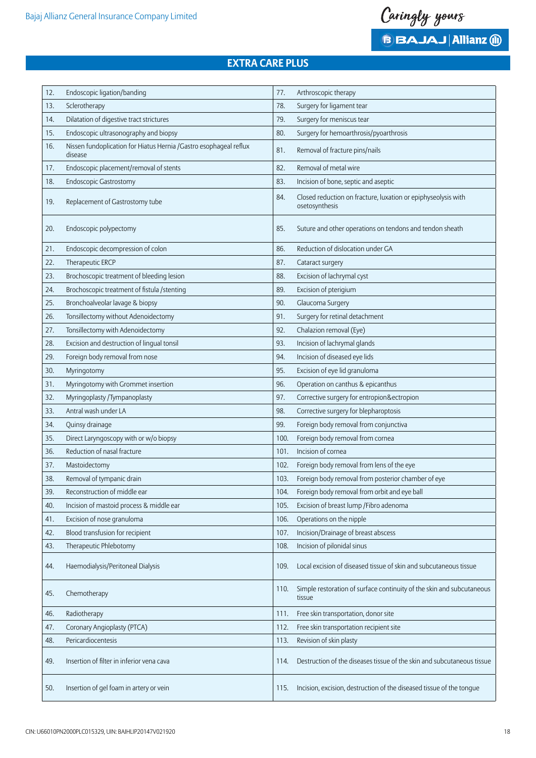

**BBAJAJ Allianz (ii)** 

# **Extra Care Plus**

| 12. | Endoscopic ligation/banding                                                  | 77.  | Arthroscopic therapy                                                            |
|-----|------------------------------------------------------------------------------|------|---------------------------------------------------------------------------------|
| 13. | Sclerotherapy                                                                | 78.  | Surgery for ligament tear                                                       |
| 14. | Dilatation of digestive tract strictures                                     | 79.  | Surgery for meniscus tear                                                       |
| 15. | Endoscopic ultrasonography and biopsy                                        | 80.  | Surgery for hemoarthrosis/pyoarthrosis                                          |
| 16. | Nissen fundoplication for Hiatus Hernia /Gastro esophageal reflux<br>disease | 81.  | Removal of fracture pins/nails                                                  |
| 17. | Endoscopic placement/removal of stents                                       | 82.  | Removal of metal wire                                                           |
| 18. | <b>Endoscopic Gastrostomy</b>                                                | 83.  | Incision of bone, septic and aseptic                                            |
| 19. | Replacement of Gastrostomy tube                                              | 84.  | Closed reduction on fracture, luxation or epiphyseolysis with<br>osetosynthesis |
| 20. | Endoscopic polypectomy                                                       | 85.  | Suture and other operations on tendons and tendon sheath                        |
| 21. | Endoscopic decompression of colon                                            | 86.  | Reduction of dislocation under GA                                               |
| 22. | Therapeutic ERCP                                                             | 87.  | Cataract surgery                                                                |
| 23. | Brochoscopic treatment of bleeding lesion                                    | 88.  | Excision of lachrymal cyst                                                      |
| 24. | Brochoscopic treatment of fistula / stenting                                 | 89.  | Excision of pterigium                                                           |
| 25. | Bronchoalveolar lavage & biopsy                                              | 90.  | Glaucoma Surgery                                                                |
| 26. | Tonsillectomy without Adenoidectomy                                          | 91.  | Surgery for retinal detachment                                                  |
| 27. | Tonsillectomy with Adenoidectomy                                             | 92.  | Chalazion removal (Eye)                                                         |
| 28. | Excision and destruction of lingual tonsil                                   | 93.  | Incision of lachrymal glands                                                    |
| 29. | Foreign body removal from nose                                               | 94.  | Incision of diseased eye lids                                                   |
| 30. | Myringotomy                                                                  | 95.  | Excision of eye lid granuloma                                                   |
| 31. | Myringotomy with Grommet insertion                                           | 96.  | Operation on canthus & epicanthus                                               |
| 32. | Myringoplasty / Tympanoplasty                                                | 97.  | Corrective surgery for entropion&ectropion                                      |
| 33. | Antral wash under LA                                                         | 98.  | Corrective surgery for blepharoptosis                                           |
| 34. | Quinsy drainage                                                              | 99.  | Foreign body removal from conjunctiva                                           |
| 35. | Direct Laryngoscopy with or w/o biopsy                                       | 100. | Foreign body removal from cornea                                                |
| 36. | Reduction of nasal fracture                                                  | 101. | Incision of cornea                                                              |
| 37. | Mastoidectomy                                                                | 102. | Foreign body removal from lens of the eye                                       |
| 38. | Removal of tympanic drain                                                    | 103. | Foreign body removal from posterior chamber of eye                              |
| 39. | Reconstruction of middle ear                                                 | 104. | Foreign body removal from orbit and eye ball                                    |
| 40. | Incision of mastoid process & middle ear                                     | 105. | Excision of breast lump / Fibro adenoma                                         |
| 41. | Excision of nose granuloma                                                   | 106. | Operations on the nipple                                                        |
| 42. | Blood transfusion for recipient                                              | 107. | Incision/Drainage of breast abscess                                             |
| 43. | Therapeutic Phlebotomy                                                       | 108. | Incision of pilonidal sinus                                                     |
| 44. | Haemodialysis/Peritoneal Dialysis                                            | 109. | Local excision of diseased tissue of skin and subcutaneous tissue               |
| 45. | Chemotherapy                                                                 | 110. | Simple restoration of surface continuity of the skin and subcutaneous<br>tissue |
| 46. | Radiotherapy                                                                 | 111. | Free skin transportation, donor site                                            |
| 47. | Coronary Angioplasty (PTCA)                                                  | 112. | Free skin transportation recipient site                                         |
| 48. | Pericardiocentesis                                                           | 113. | Revision of skin plasty                                                         |
| 49. | Insertion of filter in inferior vena cava                                    | 114. | Destruction of the diseases tissue of the skin and subcutaneous tissue          |
| 50. | Insertion of gel foam in artery or vein                                      | 115. | Incision, excision, destruction of the diseased tissue of the tongue            |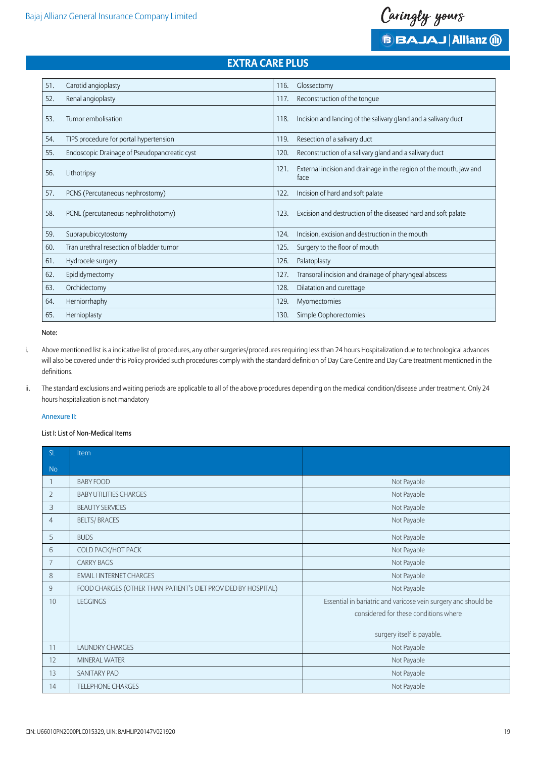

| 51. | Carotid angioplasty                          | 116.<br>Glossectomy                                                                |
|-----|----------------------------------------------|------------------------------------------------------------------------------------|
| 52. | Renal angioplasty                            | Reconstruction of the tonque<br>117.                                               |
| 53. | Tumor embolisation                           | Incision and lancing of the salivary gland and a salivary duct<br>118.             |
| 54. | TIPS procedure for portal hypertension       | Resection of a salivary duct<br>119.                                               |
| 55. | Endoscopic Drainage of Pseudopancreatic cyst | Reconstruction of a salivary gland and a salivary duct<br>120.                     |
| 56. | Lithotripsy                                  | External incision and drainage in the region of the mouth, jaw and<br>121.<br>tace |
| 57. | PCNS (Percutaneous nephrostomy)              | Incision of hard and soft palate<br>122.                                           |
| 58. | PCNL (percutaneous nephrolithotomy)          | Excision and destruction of the diseased hard and soft palate<br>123.              |
| 59. | Suprapubiccytostomy                          | Incision, excision and destruction in the mouth<br>124.                            |
| 60. | Tran urethral resection of bladder tumor     | Surgery to the floor of mouth<br>125.                                              |
| 61. | Hydrocele surgery                            | Palatoplasty<br>126.                                                               |
| 62. | Epididymectomy                               | Transoral incision and drainage of pharyngeal abscess<br>127.                      |
| 63. | Orchidectomy                                 | 128.<br>Dilatation and curettage                                                   |
| 64. | Herniorrhaphy                                | 129.<br>Myomectomies                                                               |
| 65. | Hernioplasty                                 | Simple Oophorectomies<br>130.                                                      |
|     |                                              |                                                                                    |

Note:

- i. Above mentioned list is a indicative list of procedures, any other surgeries/procedures requiring less than 24 hours Hospitalization due to technological advances will also be covered under this Policy provided such procedures comply with the standard definition of Day Care Centre and Day Care treatment mentioned in the definitions.
- ii. The standard exclusions and waiting periods are applicable to all of the above procedures depending on the medical condition/disease under treatment. Only 24 hours hospitalization is not mandatory

## Annexure II:

## List I: List of Non-Medical Items

| SL             | Item                                                          |                                                                                                                                       |
|----------------|---------------------------------------------------------------|---------------------------------------------------------------------------------------------------------------------------------------|
| No             |                                                               |                                                                                                                                       |
| $\mathbf{1}$   | <b>BABY FOOD</b>                                              | Not Payable                                                                                                                           |
| $\overline{2}$ | <b>BABY UTILITIES CHARGES</b>                                 | Not Payable                                                                                                                           |
| 3              | <b>BEAUTY SERVICES</b>                                        | Not Payable                                                                                                                           |
| $\overline{4}$ | <b>BELTS/BRACES</b>                                           | Not Payable                                                                                                                           |
| 5              | <b>BUDS</b>                                                   | Not Payable                                                                                                                           |
| 6              | COLD PACK/HOT PACK                                            | Not Payable                                                                                                                           |
| 7              | <b>CARRY BAGS</b>                                             | Not Payable                                                                                                                           |
| 8              | <b>EMAIL I INTERNET CHARGES</b>                               | Not Payable                                                                                                                           |
| $\overline{9}$ | FOOD CHARGES (OTHER THAN PATIENT's DIET PROVIDED BY HOSPITAL) | Not Payable                                                                                                                           |
| 10             | <b>LEGGINGS</b>                                               | Essential in bariatric and varicose vein surgery and should be<br>considered for these conditions where<br>surgery itself is payable. |
| 11             | <b>LAUNDRY CHARGES</b>                                        | Not Payable                                                                                                                           |
| 12             | <b>MINERAL WATER</b>                                          | Not Payable                                                                                                                           |
| 13             | <b>SANITARY PAD</b>                                           | Not Payable                                                                                                                           |
| 14             | <b>TELEPHONE CHARGES</b>                                      | Not Payable                                                                                                                           |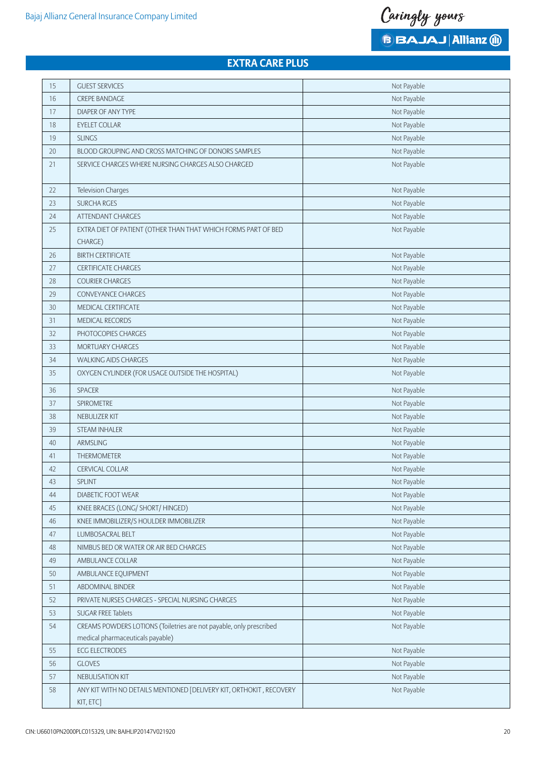Caringly yours

**BBAJAJ Allianz (ii)** 

# **Extra Care Plus**

| 15     | <b>GUEST SERVICES</b>                                               | Not Payable |
|--------|---------------------------------------------------------------------|-------------|
| 16     | <b>CREPE BANDAGE</b>                                                | Not Payable |
| 17     | <b>DIAPER OF ANY TYPE</b>                                           | Not Payable |
| 18     | <b>EYELET COLLAR</b>                                                | Not Payable |
| 19     | <b>SLINGS</b>                                                       | Not Payable |
| $20\,$ | BLOOD GROUPING AND CROSS MATCHING OF DONORS SAMPLES                 | Not Payable |
| 21     | SERVICE CHARGES WHERE NURSING CHARGES ALSO CHARGED                  | Not Payable |
|        |                                                                     |             |
| 22     | <b>Television Charges</b>                                           | Not Payable |
| 23     | <b>SURCHA RGES</b>                                                  | Not Payable |
| 24     | <b>ATTENDANT CHARGES</b>                                            | Not Payable |
| 25     | EXTRA DIET OF PATIENT (OTHER THAN THAT WHICH FORMS PART OF BED      | Not Payable |
|        | CHARGE)                                                             |             |
| 26     | <b>BIRTH CERTIFICATE</b>                                            | Not Payable |
| 27     | <b>CERTIFICATE CHARGES</b>                                          | Not Payable |
| 28     | <b>COURIER CHARGES</b>                                              | Not Payable |
| 29     | <b>CONVEYANCE CHARGES</b>                                           | Not Payable |
| 30     | MEDICAL CERTIFICATE                                                 | Not Payable |
| 31     | MEDICAL RECORDS                                                     | Not Payable |
| 32     | PHOTOCOPIES CHARGES                                                 | Not Payable |
| 33     | MORTUARY CHARGES                                                    | Not Payable |
| 34     | <b>WALKING AIDS CHARGES</b>                                         | Not Payable |
| 35     | OXYGEN CYLINDER (FOR USAGE OUTSIDE THE HOSPITAL)                    | Not Payable |
| 36     | SPACER                                                              | Not Payable |
| 37     | SPIROMETRE                                                          | Not Payable |
| 38     | NEBULIZER KIT                                                       | Not Payable |
| 39     | <b>STEAM INHALER</b>                                                | Not Payable |
| 40     | ARMSLING                                                            | Not Payable |
| 41     | THERMOMETER                                                         | Not Payable |
| 42     | <b>CERVICAL COLLAR</b>                                              | Not Payable |
| 43     | <b>SPLINT</b>                                                       | Not Payable |
| 44     | DIABETIC FOOT WEAR                                                  | Not Payable |
| 45     | KNEE BRACES (LONG/ SHORT/ HINGED)                                   | Not Payable |
| 46     | KNEE IMMOBILIZER/S HOULDER IMMOBILIZER                              | Not Payable |
| 47     | LUMBOSACRAL BELT                                                    | Not Payable |
| $48\,$ | NIMBUS BED OR WATER OR AIR BED CHARGES                              | Not Payable |
| 49     | AMBULANCE COLLAR                                                    | Not Payable |
| 50     | AMBULANCE EQUIPMENT                                                 | Not Payable |
| 51     | ABDOMINAL BINDER                                                    | Not Payable |
| 52     | PRIVATE NURSES CHARGES - SPECIAL NURSING CHARGES                    | Not Payable |
| 53     | <b>SUGAR FREE Tablets</b>                                           | Not Payable |
| 54     | CREAMS POWDERS LOTIONS (Toiletries are not payable, only prescribed | Not Payable |
|        | medical pharmaceuticals payable)                                    |             |
| 55     | <b>ECG ELECTRODES</b>                                               | Not Payable |
| 56     | <b>GLOVES</b>                                                       | Not Payable |
| 57     | NEBULISATION KIT                                                    | Not Payable |
| 58     | ANY KIT WITH NO DETAILS MENTIONED [DELIVERY KIT, ORTHOKIT, RECOVERY | Not Payable |
|        | KIT, ETC]                                                           |             |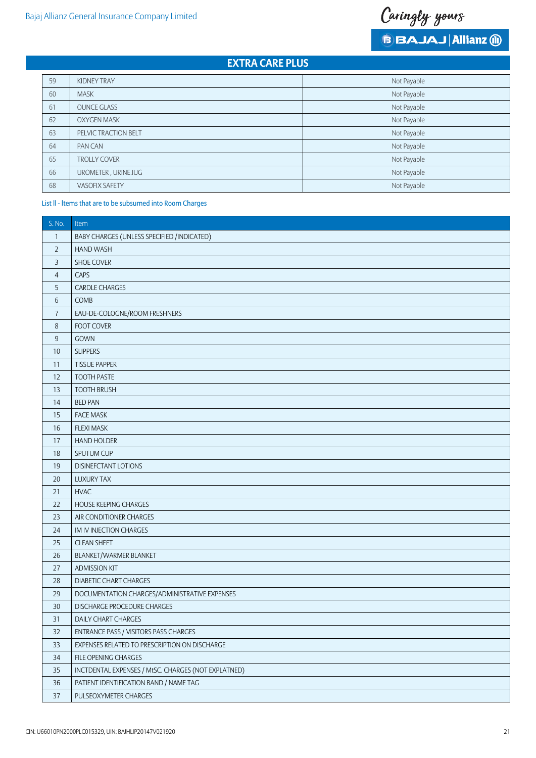Caringly yours

**BBAJAJ Allianz (ii)** 

# **Extra Care Plus**

| 59 | <b>KIDNEY TRAY</b>    | Not Payable |
|----|-----------------------|-------------|
| 60 | <b>MASK</b>           | Not Payable |
| 61 | <b>OUNCE GLASS</b>    | Not Payable |
| 62 | <b>OXYGEN MASK</b>    | Not Payable |
| 63 | PELVIC TRACTION BELT  | Not Payable |
| 64 | PAN CAN               | Not Payable |
| 65 | <b>TROLLY COVER</b>   | Not Payable |
| 66 | UROMETER, URINE JUG   | Not Payable |
| 68 | <b>VASOFIX SAFETY</b> | Not Payable |

## List ll - ltems that are to be subsumed into Room Charges

| S. No.           | Item                                                |
|------------------|-----------------------------------------------------|
| $\mathbf{1}$     | BABY CHARGES (UNLESS SPECIFIED /INDICATED)          |
| $\overline{2}$   | <b>HAND WASH</b>                                    |
| $\mathsf 3$      | SHOE COVER                                          |
| $\overline{4}$   | CAPS                                                |
| 5                | <b>CARDLE CHARGES</b>                               |
| $\,6\,$          | <b>COMB</b>                                         |
| $\overline{7}$   | EAU-DE-COLOGNE/ROOM FRESHNERS                       |
| $\,8\,$          | FOOT COVER                                          |
| $\boldsymbol{9}$ | GOWN                                                |
| 10               | <b>SLIPPERS</b>                                     |
| 11               | <b>TISSUE PAPPER</b>                                |
| 12               | <b>TOOTH PASTE</b>                                  |
| 13               | <b>TOOTH BRUSH</b>                                  |
| 14               | <b>BED PAN</b>                                      |
| 15               | <b>FACE MASK</b>                                    |
| 16               | <b>FLEXI MASK</b>                                   |
| 17               | <b>HAND HOLDER</b>                                  |
| 18               | SPUTUM CUP                                          |
| 19               | DISINEFCTANT LOTIONS                                |
| 20               | <b>LUXURY TAX</b>                                   |
| 21               | <b>HVAC</b>                                         |
| 22               | HOUSE KEEPING CHARGES                               |
| 23               | AIR CONDITIONER CHARGES                             |
| 24               | IM IV INJECTION CHARGES                             |
| 25               | <b>CLEAN SHEET</b>                                  |
| 26               | BLANKET/WARMER BLANKET                              |
| 27               | <b>ADMISSION KIT</b>                                |
| 28               | <b>DIABETIC CHART CHARGES</b>                       |
| 29               | DOCUMENTATION CHARGES/ADMINISTRATIVE EXPENSES       |
| 30               | DISCHARGE PROCEDURE CHARGES                         |
| $31$             | DAILY CHART CHARGES                                 |
| 32               | ENTRANCE PASS / VISITORS PASS CHARGES               |
| 33               | EXPENSES RELATED TO PRESCRIPTION ON DISCHARGE       |
| 34               | FILE OPENING CHARGES                                |
| 35               | INCTDENTAL EXPENSES / MtSC. CHARGES (NOT EXPLATNED) |
| 36               | PATIENT IDENTIFICATION BAND / NAME TAG              |
| 37               | PULSEOXYMETER CHARGES                               |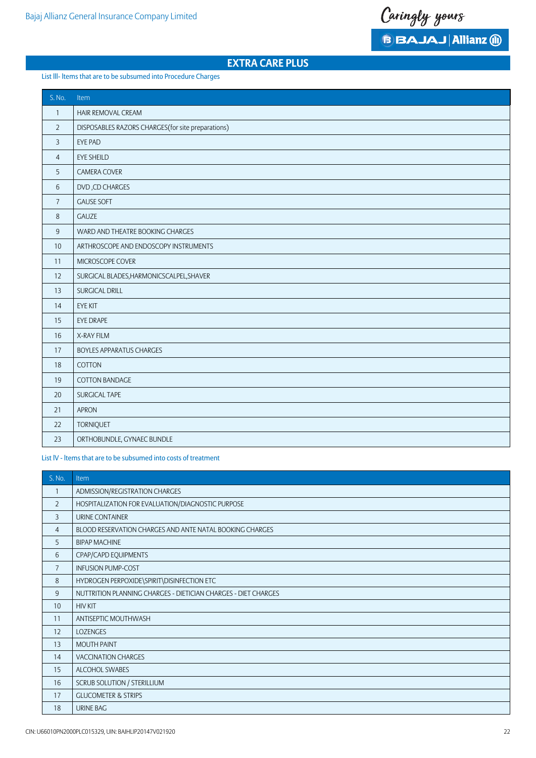Caringly yours

**BBAJAJ Allianz @** 

# **Extra Care Plus**

## List lll- ltems that are to be subsumed into Procedure Charges

| S. No.         | Item                                               |
|----------------|----------------------------------------------------|
| $\mathbf{1}$   | HAIR REMOVAL CREAM                                 |
| $\overline{2}$ | DISPOSABLES RAZORS CHARGES (for site preparations) |
| 3              | <b>EYE PAD</b>                                     |
| $\overline{4}$ | <b>EYE SHEILD</b>                                  |
| 5              | CAMERA COVER                                       |
| 6              | DVD, CD CHARGES                                    |
| $\overline{7}$ | <b>GAUSE SOFT</b>                                  |
| $\,8\,$        | GAUZE                                              |
| $\overline{9}$ | WARD AND THEATRE BOOKING CHARGES                   |
| 10             | ARTHROSCOPE AND ENDOSCOPY INSTRUMENTS              |
| 11             | MICROSCOPE COVER                                   |
| 12             | SURGICAL BLADES, HARMONICSCALPEL, SHAVER           |
| 13             | SURGICAL DRILL                                     |
| 14             | <b>EYE KIT</b>                                     |
| 15             | EYE DRAPE                                          |
| 16             | X-RAY FILM                                         |
| 17             | <b>BOYLES APPARATUS CHARGES</b>                    |
| 18             | COTTON                                             |
| 19             | COTTON BANDAGE                                     |
| 20             | SURGICAL TAPE                                      |
| 21             | <b>APRON</b>                                       |
| 22             | <b>TORNIQUET</b>                                   |
| 23             | ORTHOBUNDLE, GYNAEC BUNDLE                         |

List lV - ltems that are to be subsumed into costs of treatment

| S. No.         | Item                                                           |
|----------------|----------------------------------------------------------------|
| 1              | ADMISSION/REGISTRATION CHARGES                                 |
| $\overline{2}$ | HOSPITALIZATION FOR EVALUATION/DIAGNOSTIC PURPOSE              |
| 3              | URINE CONTAINER                                                |
| 4              | BLOOD RESERVATION CHARGES AND ANTE NATAL BOOKING CHARGES       |
| 5              | <b>BIPAP MACHINE</b>                                           |
| 6              | CPAP/CAPD EQUIPMENTS                                           |
| $\overline{7}$ | <b>INFUSION PUMP-COST</b>                                      |
| 8              | HYDROGEN PERPOXIDE\SPIRIT\DISINFECTION ETC                     |
| 9              | NUTTRITION PLANNING CHARGES - DIETICIAN CHARGES - DIET CHARGES |
| 10             | <b>HIV KIT</b>                                                 |
| 11             | ANTISEPTIC MOUTHWASH                                           |
| 12             | <b>LOZENGES</b>                                                |
| 13             | <b>MOUTH PAINT</b>                                             |
| 14             | <b>VACCINATION CHARGES</b>                                     |
| 15             | ALCOHOL SWABES                                                 |
| 16             | SCRUB SOLUTION / STERILLIUM                                    |
| 17             | <b>GLUCOMETER &amp; STRIPS</b>                                 |
| 18             | URINE BAG                                                      |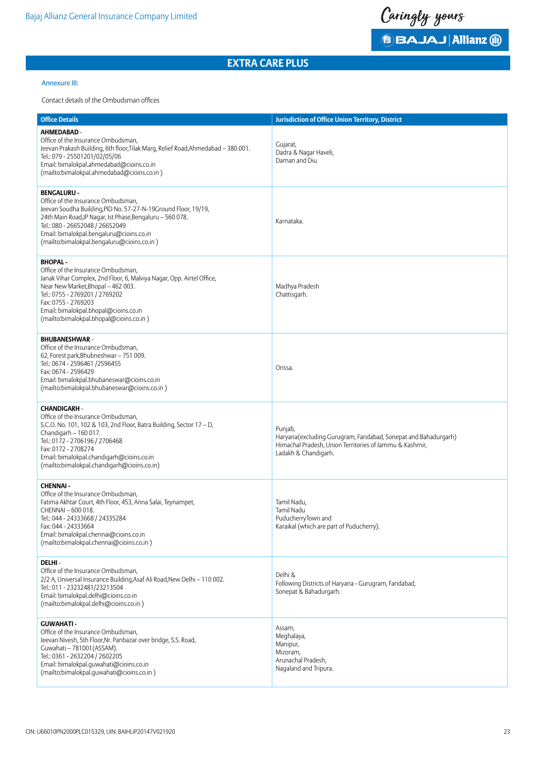Caringly yours **BBAJAJ Allianz (ii)** 

## Annexure III:

## Contact details of the Ombudsman offices

| <b>Office Details</b>                                                                                                                                                                                                                                                                                                | <b>Jurisdiction of Office Union Territory, District</b>                                                                                                       |
|----------------------------------------------------------------------------------------------------------------------------------------------------------------------------------------------------------------------------------------------------------------------------------------------------------------------|---------------------------------------------------------------------------------------------------------------------------------------------------------------|
| AHMEDABAD -<br>Office of the Insurance Ombudsman,<br>Jeevan Prakash Building, 6th floor, Tilak Marg, Relief Road, Ahmedabad - 380 001.<br>Tel.: 079 - 25501201/02/05/06<br>Email: bimalokpal.ahmedabad@cioins.co.in<br>(mailto:bimalokpal.ahmedabad@cioins.co.in)                                                    | Gujarat,<br>Dadra & Nagar Haveli,<br>Daman and Diu                                                                                                            |
| <b>BENGALURU -</b><br>Office of the Insurance Ombudsman,<br>Jeevan Soudha Building, PID No. 57-27-N-19Ground Floor, 19/19,<br>24th Main Road, JP Nagar, Ist Phase, Bengaluru - 560 078.<br>Tel.: 080 - 26652048 / 26652049<br>Email: bimalokpal.bengaluru@cioins.co.in<br>(mailto:bimalokpal.bengaluru@cioins.co.in) | Karnataka.                                                                                                                                                    |
| <b>BHOPAL-</b><br>Office of the Insurance Ombudsman,<br>Janak Vihar Complex, 2nd Floor, 6, Malviya Nagar, Opp. Airtel Office,<br>Near New Market, Bhopal - 462 003.<br>Tel.: 0755 - 2769201 / 2769202<br>Fax: 0755 - 2769203<br>Email: bimalokpal.bhopal@cioins.co.in<br>(mailto:bimalokpal.bhopal@cioins.co.in)     | Madhya Pradesh<br>Chattisgarh.                                                                                                                                |
| <b>BHUBANESHWAR-</b><br>Office of the Insurance Ombudsman,<br>62, Forest park, Bhubneshwar - 751 009.<br>Tel.: 0674 - 2596461 /2596455<br>Fax: 0674 - 2596429<br>Email: bimalokpal.bhubaneswar@cioins.co.in<br>(mailto:bimalokpal.bhubaneswar@cioins.co.in)                                                          | Orissa.                                                                                                                                                       |
| <b>CHANDIGARH -</b><br>Office of the Insurance Ombudsman,<br>S.C.O. No. 101, 102 & 103, 2nd Floor, Batra Building, Sector 17 - D,<br>Chandigarh - 160 017.<br>Tel.: 0172 - 2706196 / 2706468<br>Fax: 0172 - 2708274<br>Email: bimalokpal.chandigarh@cioins.co.in<br>(mailto:bimalokpal.chandigarh@cioins.co.in)      | Punjab,<br>Haryana(excluding Gurugram, Faridabad, Sonepat and Bahadurgarh)<br>Himachal Pradesh, Union Territories of Jammu & Kashmir,<br>Ladakh & Chandigarh. |
| <b>CHENNAI-</b><br>Office of the Insurance Ombudsman,<br>Fatima Akhtar Court, 4th Floor, 453, Anna Salai, Teynampet,<br>CHENNAI - 600 018.<br>Tel.: 044 - 24333668 / 24335284<br>Fax: 044 - 24333664<br>Email: bimalokpal.chennai@cioins.co.in<br>(mailto:bimalokpal.chennai@cioins.co.in)                           | Tamil Nadu,<br>Tamil Nadu<br>PuducherryTown and<br>Karaikal (which are part of Puducherry).                                                                   |
| DELHI-<br>Office of the Insurance Ombudsman,<br>2/2 A, Universal Insurance Building, Asaf Ali Road, New Delhi - 110 002.<br>Tel.: 011 - 23232481/23213504<br>Email: bimalokpal.delhi@cioins.co.in<br>(mailto:bimalokpal.delhi@cioins.co.in)                                                                          | Delhi &<br>Following Districts of Haryana - Gurugram, Faridabad,<br>Sonepat & Bahadurgarh.                                                                    |
| <b>GUWAHATI-</b><br>Office of the Insurance Ombudsman,<br>Jeevan Nivesh, 5th Floor, Nr. Panbazar over bridge, S.S. Road,<br>Guwahati - 781001 (ASSAM).<br>Tel.: 0361 - 2632204 / 2602205<br>Email: bimalokpal.guwahati@cioins.co.in<br>(mailto:bimalokpal.guwahati@cioins.co.in)                                     | Assam,<br>Meghalaya,<br>Manipur,<br>Mizoram,<br>Arunachal Pradesh,<br>Nagaland and Tripura.                                                                   |